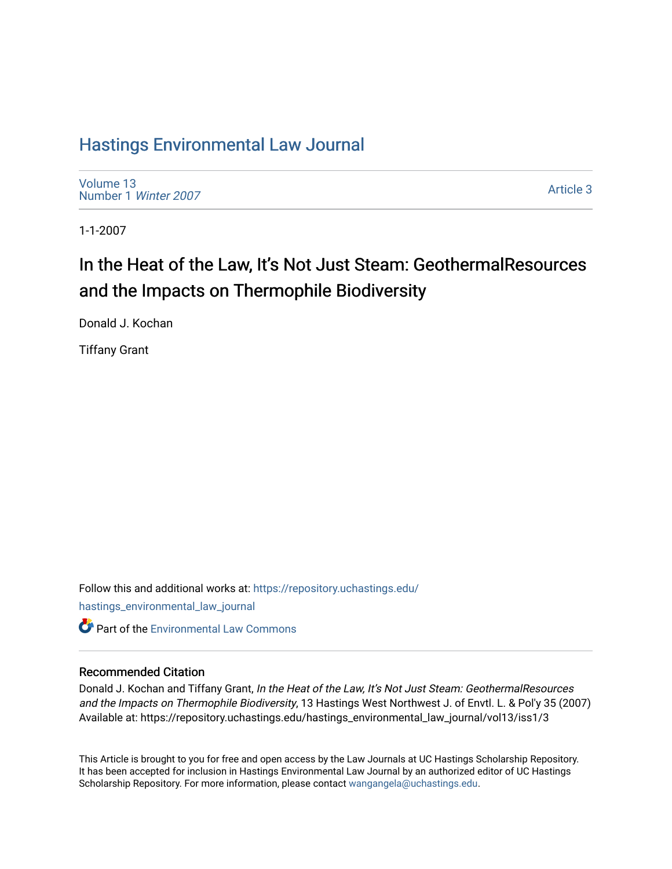# [Hastings Environmental Law Journal](https://repository.uchastings.edu/hastings_environmental_law_journal)

[Volume 13](https://repository.uchastings.edu/hastings_environmental_law_journal/vol13) [Number 1](https://repository.uchastings.edu/hastings_environmental_law_journal/vol13/iss1) Winter 2007

[Article 3](https://repository.uchastings.edu/hastings_environmental_law_journal/vol13/iss1/3) 

1-1-2007

# In the Heat of the Law, It's Not Just Steam: GeothermalResources and the Impacts on Thermophile Biodiversity

Donald J. Kochan

Tiffany Grant

Follow this and additional works at: [https://repository.uchastings.edu/](https://repository.uchastings.edu/hastings_environmental_law_journal?utm_source=repository.uchastings.edu%2Fhastings_environmental_law_journal%2Fvol13%2Fiss1%2F3&utm_medium=PDF&utm_campaign=PDFCoverPages) [hastings\\_environmental\\_law\\_journal](https://repository.uchastings.edu/hastings_environmental_law_journal?utm_source=repository.uchastings.edu%2Fhastings_environmental_law_journal%2Fvol13%2Fiss1%2F3&utm_medium=PDF&utm_campaign=PDFCoverPages)  **C** Part of the [Environmental Law Commons](http://network.bepress.com/hgg/discipline/599?utm_source=repository.uchastings.edu%2Fhastings_environmental_law_journal%2Fvol13%2Fiss1%2F3&utm_medium=PDF&utm_campaign=PDFCoverPages)

## Recommended Citation

Donald J. Kochan and Tiffany Grant, In the Heat of the Law, It's Not Just Steam: GeothermalResources and the Impacts on Thermophile Biodiversity, 13 Hastings West Northwest J. of Envtl. L. & Pol'y 35 (2007) Available at: https://repository.uchastings.edu/hastings\_environmental\_law\_journal/vol13/iss1/3

This Article is brought to you for free and open access by the Law Journals at UC Hastings Scholarship Repository. It has been accepted for inclusion in Hastings Environmental Law Journal by an authorized editor of UC Hastings Scholarship Repository. For more information, please contact [wangangela@uchastings.edu.](mailto:wangangela@uchastings.edu)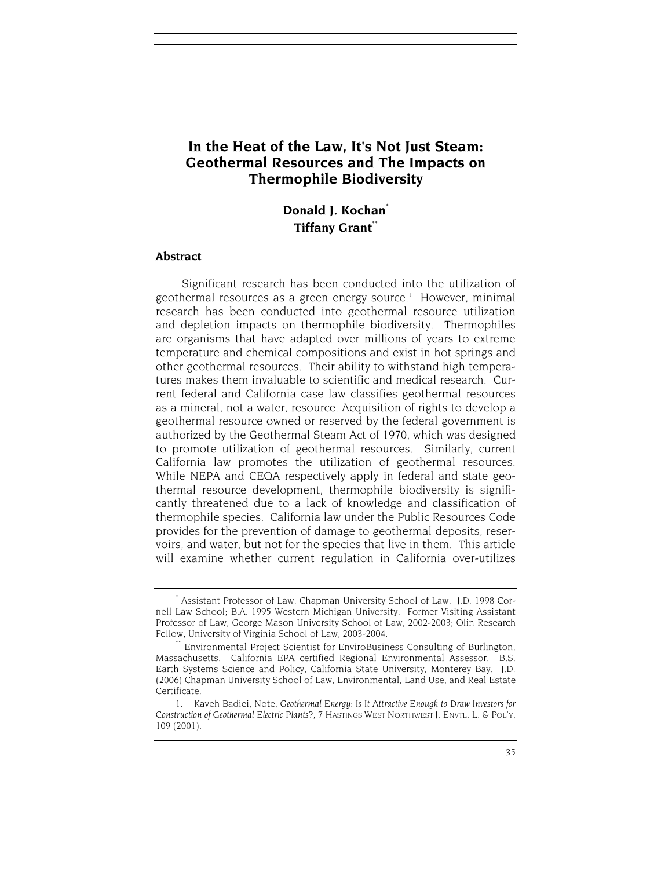# **In the Heat of the Law, It's Not Just Steam: Geothermal Resources and The Impacts on Thermophile Biodiversity**

## **Donald J. Kochan\* Tiffany Grant\*\***

#### **Abstract**

Significant research has been conducted into the utilization of geothermal resources as a green energy source.<sup>1</sup> However, minimal research has been conducted into geothermal resource utilization and depletion impacts on thermophile biodiversity. Thermophiles are organisms that have adapted over millions of years to extreme temperature and chemical compositions and exist in hot springs and other geothermal resources. Their ability to withstand high temperatures makes them invaluable to scientific and medical research. Current federal and California case law classifies geothermal resources as a mineral, not a water, resource. Acquisition of rights to develop a geothermal resource owned or reserved by the federal government is authorized by the Geothermal Steam Act of 1970, which was designed to promote utilization of geothermal resources. Similarly, current California law promotes the utilization of geothermal resources. While NEPA and CEQA respectively apply in federal and state geothermal resource development, thermophile biodiversity is significantly threatened due to a lack of knowledge and classification of thermophile species. California law under the Public Resources Code provides for the prevention of damage to geothermal deposits, reservoirs, and water, but not for the species that live in them. This article will examine whether current regulation in California over-utilizes

<sup>\*</sup> Assistant Professor of Law, Chapman University School of Law. J.D. 1998 Cornell Law School; B.A. 1995 Western Michigan University. Former Visiting Assistant Professor of Law, George Mason University School of Law, 2002-2003; Olin Research Fellow, University of Virginia School of Law, 2003-2004.<br>\*\* Environmental Project Scientist for EnviroBusiness Consulting of Burlington,

Massachusetts. California EPA certified Regional Environmental Assessor. B.S. Earth Systems Science and Policy, California State University, Monterey Bay. J.D. (2006) Chapman University School of Law, Environmental, Land Use, and Real Estate Certificate.

<sup>1.</sup> Kaveh Badiei, Note, *Geothermal Energy: Is It Attractive Enough to Draw Investors for Construction of Geothermal Electric Plants?,* 7 HASTINGS WEST NORTHWEST J. ENVTL. L. & POL'Y, 109 (2001).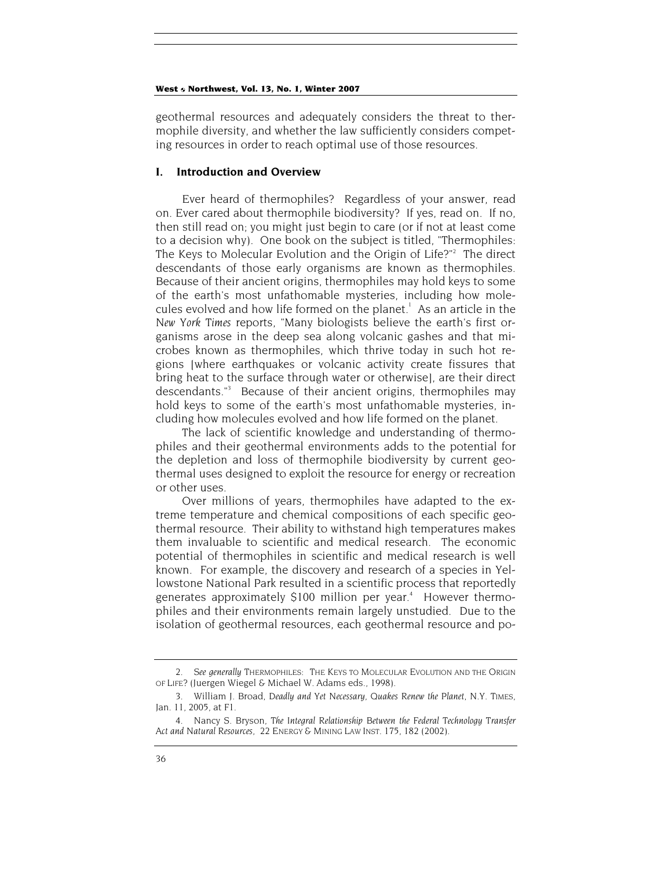geothermal resources and adequately considers the threat to thermophile diversity, and whether the law sufficiently considers competing resources in order to reach optimal use of those resources.

## **I. Introduction and Overview**

Ever heard of thermophiles? Regardless of your answer, read on. Ever cared about thermophile biodiversity? If yes, read on. If no, then still read on; you might just begin to care (or if not at least come to a decision why). One book on the subject is titled, "Thermophiles: The Keys to Molecular Evolution and the Origin of Life?"<sup>2</sup> The direct descendants of those early organisms are known as thermophiles. Because of their ancient origins, thermophiles may hold keys to some of the earth's most unfathomable mysteries, including how molecules evolved and how life formed on the planet.<sup>1</sup> As an article in the *New York Times* reports, "Many biologists believe the earth's first organisms arose in the deep sea along volcanic gashes and that microbes known as thermophiles, which thrive today in such hot regions [where earthquakes or volcanic activity create fissures that bring heat to the surface through water or otherwise], are their direct descendants."3 Because of their ancient origins, thermophiles may hold keys to some of the earth's most unfathomable mysteries, including how molecules evolved and how life formed on the planet.

The lack of scientific knowledge and understanding of thermophiles and their geothermal environments adds to the potential for the depletion and loss of thermophile biodiversity by current geothermal uses designed to exploit the resource for energy or recreation or other uses.

Over millions of years, thermophiles have adapted to the extreme temperature and chemical compositions of each specific geothermal resource. Their ability to withstand high temperatures makes them invaluable to scientific and medical research. The economic potential of thermophiles in scientific and medical research is well known. For example, the discovery and research of a species in Yellowstone National Park resulted in a scientific process that reportedly generates approximately \$100 million per year.<sup>4</sup> However thermophiles and their environments remain largely unstudied. Due to the isolation of geothermal resources, each geothermal resource and po-

<sup>2</sup>*. See generally* THERMOPHILES: THE KEYS TO MOLECULAR EVOLUTION AND THE ORIGIN OF LIFE? (Juergen Wiegel & Michael W. Adams eds., 1998).

<sup>3.</sup> William J. Broad, *Deadly and Yet Necessary, Quakes Renew the Planet*, N.Y. TIMES, Jan. 11, 2005, at F1.

<sup>4.</sup> Nancy S. Bryson, *The Integral Relationship Between the Federal Technology Transfer Act and Natural Resources,* 22 ENERGY & MINING LAW INST. 175, 182 (2002).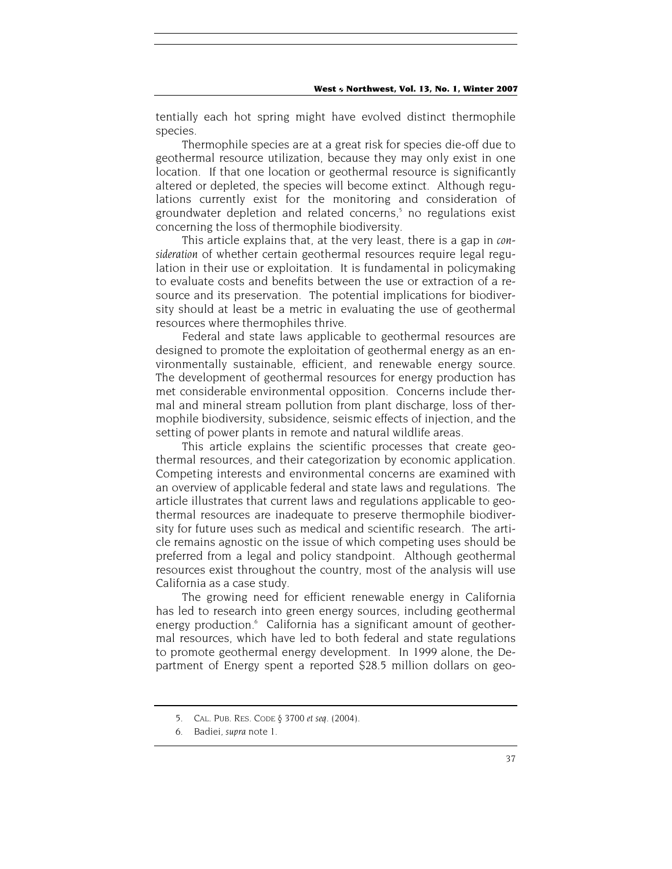tentially each hot spring might have evolved distinct thermophile species.

Thermophile species are at a great risk for species die-off due to geothermal resource utilization, because they may only exist in one location. If that one location or geothermal resource is significantly altered or depleted, the species will become extinct. Although regulations currently exist for the monitoring and consideration of groundwater depletion and related concerns,<sup>5</sup> no regulations exist concerning the loss of thermophile biodiversity.

This article explains that, at the very least, there is a gap in *consideration* of whether certain geothermal resources require legal regulation in their use or exploitation. It is fundamental in policymaking to evaluate costs and benefits between the use or extraction of a resource and its preservation. The potential implications for biodiversity should at least be a metric in evaluating the use of geothermal resources where thermophiles thrive.

Federal and state laws applicable to geothermal resources are designed to promote the exploitation of geothermal energy as an environmentally sustainable, efficient, and renewable energy source. The development of geothermal resources for energy production has met considerable environmental opposition. Concerns include thermal and mineral stream pollution from plant discharge, loss of thermophile biodiversity, subsidence, seismic effects of injection, and the setting of power plants in remote and natural wildlife areas.

This article explains the scientific processes that create geothermal resources, and their categorization by economic application. Competing interests and environmental concerns are examined with an overview of applicable federal and state laws and regulations. The article illustrates that current laws and regulations applicable to geothermal resources are inadequate to preserve thermophile biodiversity for future uses such as medical and scientific research. The article remains agnostic on the issue of which competing uses should be preferred from a legal and policy standpoint. Although geothermal resources exist throughout the country, most of the analysis will use California as a case study.

The growing need for efficient renewable energy in California has led to research into green energy sources, including geothermal energy production.<sup>6</sup> California has a significant amount of geothermal resources, which have led to both federal and state regulations to promote geothermal energy development. In 1999 alone, the Department of Energy spent a reported \$28.5 million dollars on geo-

<sup>5.</sup> CAL. PUB. RES. CODE § 3700 *et seq*. (2004).

<sup>6.</sup> Badiei, *supra* note 1.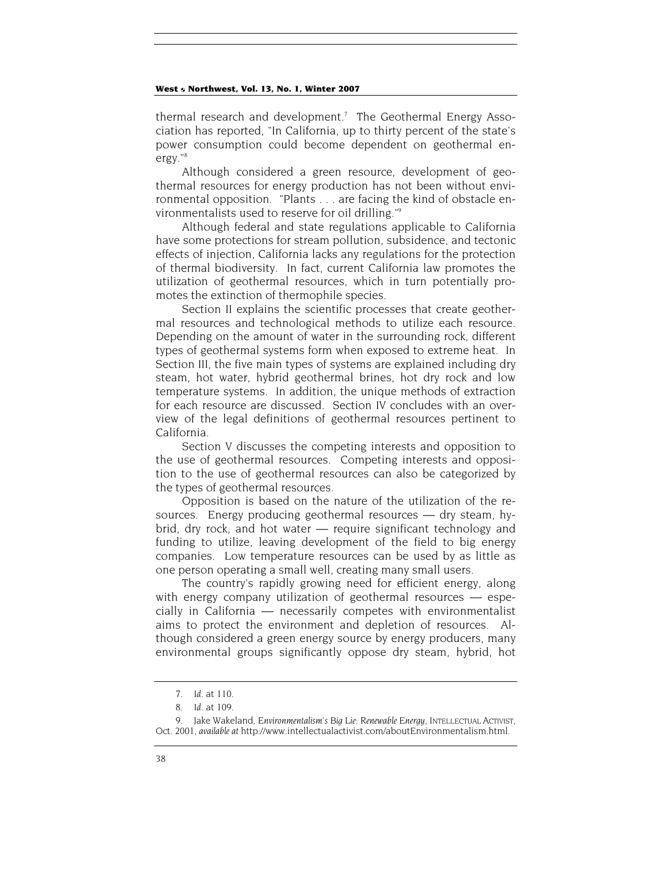thermal research and development.<sup>7</sup> The Geothermal Energy Association has reported, "In California, up to thirty percent of the state's power consumption could become dependent on geothermal energy."8

Although considered a green resource, development of geothermal resources for energy production has not been without environmental opposition. "Plants . . . are facing the kind of obstacle environmentalists used to reserve for oil drilling."9

Although federal and state regulations applicable to California have some protections for stream pollution, subsidence, and tectonic effects of injection, California lacks any regulations for the protection of thermal biodiversity. In fact, current California law promotes the utilization of geothermal resources, which in turn potentially promotes the extinction of thermophile species.

Section II explains the scientific processes that create geothermal resources and technological methods to utilize each resource. Depending on the amount of water in the surrounding rock, different types of geothermal systems form when exposed to extreme heat. In Section III, the five main types of systems are explained including dry steam, hot water, hybrid geothermal brines, hot dry rock and low temperature systems. In addition, the unique methods of extraction for each resource are discussed. Section IV concludes with an overview of the legal definitions of geothermal resources pertinent to California.

Section V discusses the competing interests and opposition to the use of geothermal resources. Competing interests and opposition to the use of geothermal resources can also be categorized by the types of geothermal resources.

Opposition is based on the nature of the utilization of the resources. Energy producing geothermal resources — dry steam, hybrid, dry rock, and hot water — require significant technology and funding to utilize, leaving development of the field to big energy companies. Low temperature resources can be used by as little as one person operating a small well, creating many small users.

The country's rapidly growing need for efficient energy, along with energy company utilization of geothermal resources — especially in California — necessarily competes with environmentalist aims to protect the environment and depletion of resources. Although considered a green energy source by energy producers, many environmental groups significantly oppose dry steam, hybrid, hot

<sup>7</sup>*. Id*. at 110.

<sup>8</sup>*. Id*. at 109.

<sup>9.</sup> Jake Wakeland, *Environmentalism's Big Lie: Renewable Energy,* INTELLECTUAL ACTIVIST, Oct. 2001, *available at* http://www.intellectualactivist.com/aboutEnvironmentalism.html.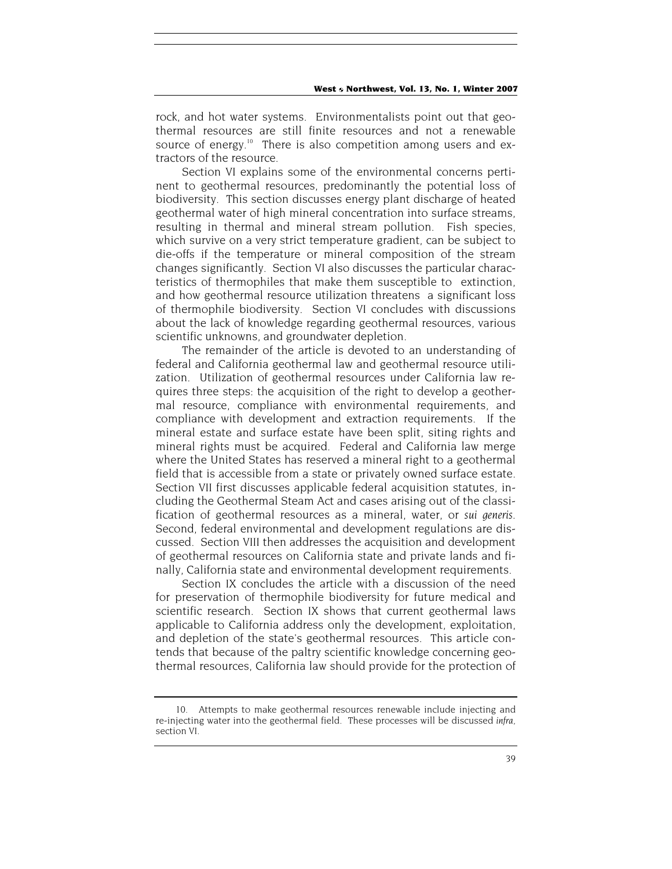rock, and hot water systems. Environmentalists point out that geothermal resources are still finite resources and not a renewable source of energy.<sup>10</sup> There is also competition among users and extractors of the resource.

Section VI explains some of the environmental concerns pertinent to geothermal resources, predominantly the potential loss of biodiversity. This section discusses energy plant discharge of heated geothermal water of high mineral concentration into surface streams, resulting in thermal and mineral stream pollution. Fish species, which survive on a very strict temperature gradient, can be subject to die-offs if the temperature or mineral composition of the stream changes significantly. Section VI also discusses the particular characteristics of thermophiles that make them susceptible to extinction, and how geothermal resource utilization threatens a significant loss of thermophile biodiversity. Section VI concludes with discussions about the lack of knowledge regarding geothermal resources, various scientific unknowns, and groundwater depletion.

The remainder of the article is devoted to an understanding of federal and California geothermal law and geothermal resource utilization. Utilization of geothermal resources under California law requires three steps: the acquisition of the right to develop a geothermal resource, compliance with environmental requirements, and compliance with development and extraction requirements. If the mineral estate and surface estate have been split, siting rights and mineral rights must be acquired. Federal and California law merge where the United States has reserved a mineral right to a geothermal field that is accessible from a state or privately owned surface estate. Section VII first discusses applicable federal acquisition statutes, including the Geothermal Steam Act and cases arising out of the classification of geothermal resources as a mineral, water, or *sui generis*. Second, federal environmental and development regulations are discussed. Section VIII then addresses the acquisition and development of geothermal resources on California state and private lands and finally, California state and environmental development requirements.

Section IX concludes the article with a discussion of the need for preservation of thermophile biodiversity for future medical and scientific research. Section IX shows that current geothermal laws applicable to California address only the development, exploitation, and depletion of the state's geothermal resources. This article contends that because of the paltry scientific knowledge concerning geothermal resources, California law should provide for the protection of

<sup>10.</sup> Attempts to make geothermal resources renewable include injecting and re-injecting water into the geothermal field. These processes will be discussed *infra*, section VI.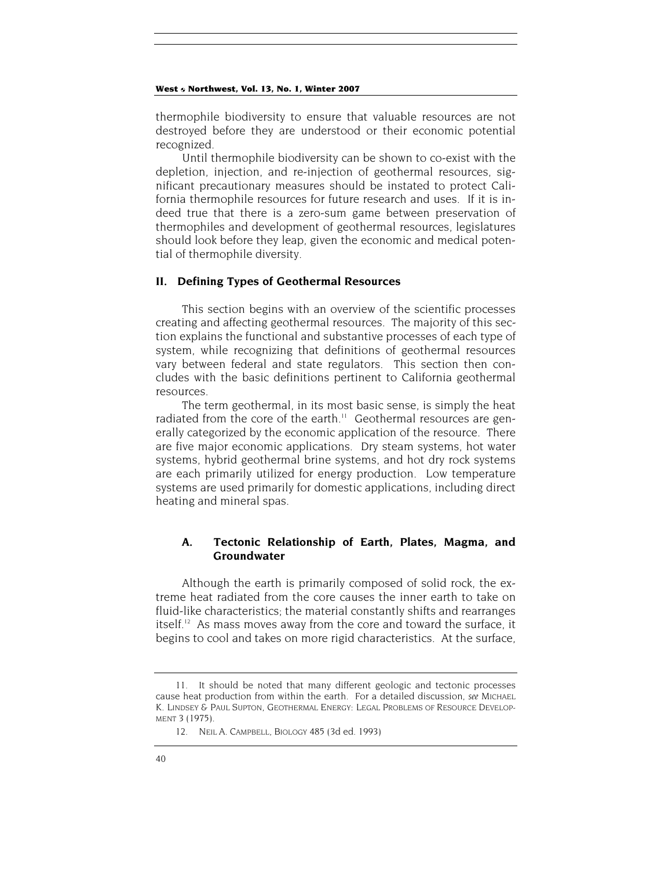thermophile biodiversity to ensure that valuable resources are not destroyed before they are understood or their economic potential recognized.

Until thermophile biodiversity can be shown to co-exist with the depletion, injection, and re-injection of geothermal resources, significant precautionary measures should be instated to protect California thermophile resources for future research and uses. If it is indeed true that there is a zero-sum game between preservation of thermophiles and development of geothermal resources, legislatures should look before they leap, given the economic and medical potential of thermophile diversity.

#### **II. Defining Types of Geothermal Resources**

This section begins with an overview of the scientific processes creating and affecting geothermal resources. The majority of this section explains the functional and substantive processes of each type of system, while recognizing that definitions of geothermal resources vary between federal and state regulators. This section then concludes with the basic definitions pertinent to California geothermal resources.

The term geothermal, in its most basic sense, is simply the heat radiated from the core of the earth.<sup>11</sup> Geothermal resources are generally categorized by the economic application of the resource. There are five major economic applications. Dry steam systems, hot water systems, hybrid geothermal brine systems, and hot dry rock systems are each primarily utilized for energy production. Low temperature systems are used primarily for domestic applications, including direct heating and mineral spas.

## **A. Tectonic Relationship of Earth, Plates, Magma, and Groundwater**

Although the earth is primarily composed of solid rock, the extreme heat radiated from the core causes the inner earth to take on fluid-like characteristics; the material constantly shifts and rearranges itself.<sup>12</sup> As mass moves away from the core and toward the surface, it begins to cool and takes on more rigid characteristics. At the surface,

<sup>11.</sup> It should be noted that many different geologic and tectonic processes cause heat production from within the earth. For a detailed discussion, *see* MICHAEL K. LINDSEY & PAUL SUPTON, GEOTHERMAL ENERGY: LEGAL PROBLEMS OF RESOURCE DEVELOP-MENT 3 (1975).

<sup>12.</sup> NEIL A. CAMPBELL, BIOLOGY 485 (3d ed. 1993)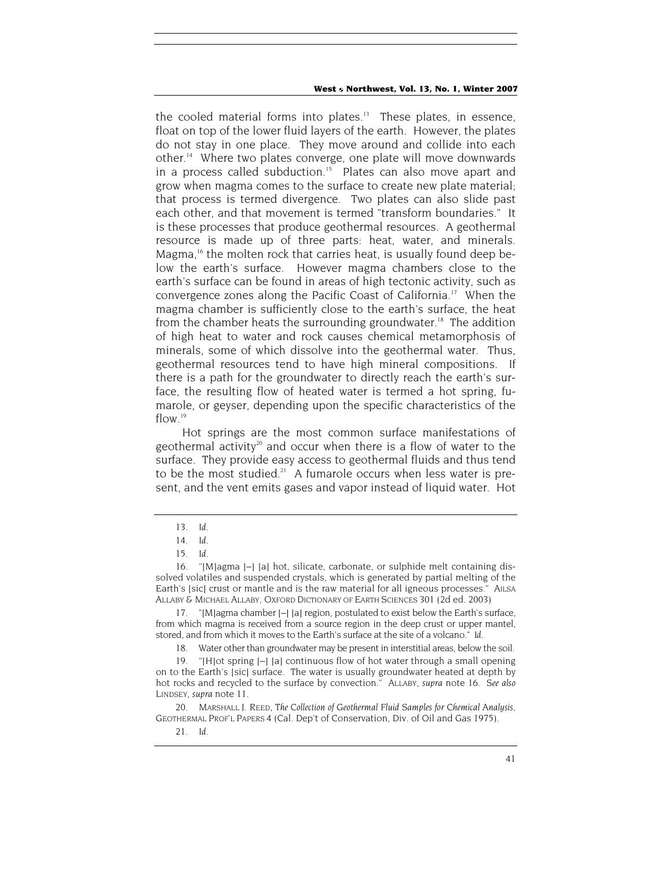the cooled material forms into plates.<sup>13</sup> These plates, in essence, float on top of the lower fluid layers of the earth. However, the plates do not stay in one place. They move around and collide into each other.14 Where two plates converge, one plate will move downwards in a process called subduction.<sup>15</sup> Plates can also move apart and grow when magma comes to the surface to create new plate material; that process is termed divergence. Two plates can also slide past each other, and that movement is termed "transform boundaries." It is these processes that produce geothermal resources. A geothermal resource is made up of three parts: heat, water, and minerals. Magma,<sup>16</sup> the molten rock that carries heat, is usually found deep below the earth's surface. However magma chambers close to the earth's surface can be found in areas of high tectonic activity, such as convergence zones along the Pacific Coast of California.<sup>17</sup> When the magma chamber is sufficiently close to the earth's surface, the heat from the chamber heats the surrounding groundwater.<sup>18</sup> The addition of high heat to water and rock causes chemical metamorphosis of minerals, some of which dissolve into the geothermal water. Thus, geothermal resources tend to have high mineral compositions. If there is a path for the groundwater to directly reach the earth's surface, the resulting flow of heated water is termed a hot spring, fumarole, or geyser, depending upon the specific characteristics of the flow.<sup>19</sup>

Hot springs are the most common surface manifestations of geothermal activity<sup>20</sup> and occur when there is a flow of water to the surface. They provide easy access to geothermal fluids and thus tend to be the most studied.<sup>21</sup> A fumarole occurs when less water is present, and the vent emits gases and vapor instead of liquid water. Hot

<sup>13</sup>*. Id*.

<sup>14</sup>*. Id*.

<sup>15</sup>*. Id*.

<sup>16. &</sup>quot;[M]agma [–] [a] hot, silicate, carbonate, or sulphide melt containing dissolved volatiles and suspended crystals, which is generated by partial melting of the Earth's [sic] crust or mantle and is the raw material for all igneous processes." AILSA ALLABY & MICHAEL ALLABY, OXFORD DICTIONARY OF EARTH SCIENCES 301 (2d ed. 2003)

<sup>17. &</sup>quot;[M]agma chamber [–] [a] region, postulated to exist below the Earth's surface, from which magma is received from a source region in the deep crust or upper mantel, stored, and from which it moves to the Earth's surface at the site of a volcano." *Id*.

<sup>18.</sup> Water other than groundwater may be present in interstitial areas, below the soil.

<sup>19. &</sup>quot;[H]ot spring [–] [a] continuous flow of hot water through a small opening on to the Earth's [sic] surface. The water is usually groundwater heated at depth by hot rocks and recycled to the surface by convection." ALLABY, *supra* note 16. *See also*  LINDSEY, *supra* note 11.

<sup>20.</sup> MARSHALL J. REED, *The Collection of Geothermal Fluid Samples for Chemical Analysis*, GEOTHERMAL PROF'L PAPERS 4 (Cal. Dep't of Conservation, Div. of Oil and Gas 1975).

<sup>21</sup>*. Id*.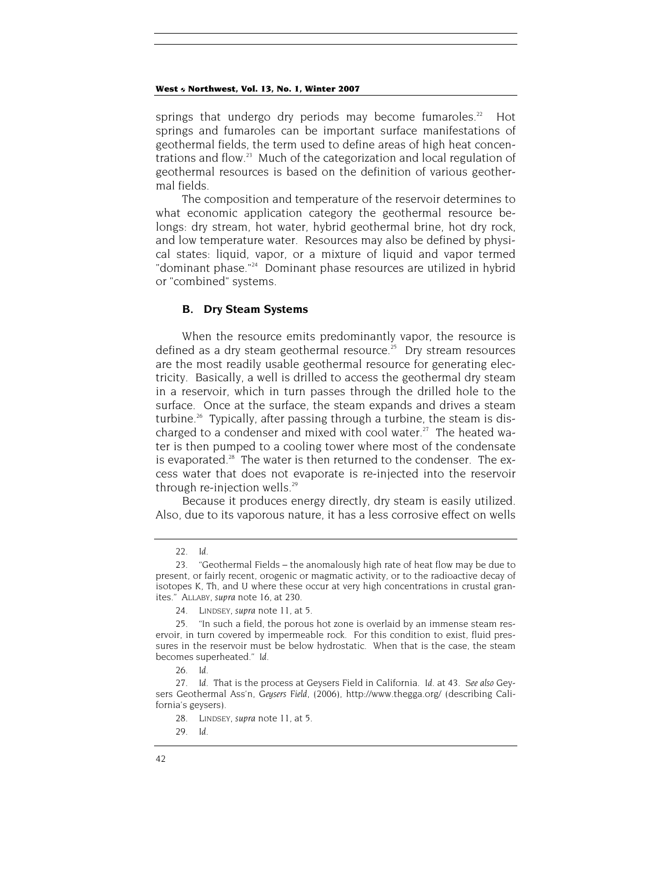springs that undergo dry periods may become fumaroles.<sup>22</sup> Hot springs and fumaroles can be important surface manifestations of geothermal fields, the term used to define areas of high heat concentrations and flow.<sup>23</sup> Much of the categorization and local regulation of geothermal resources is based on the definition of various geothermal fields.

The composition and temperature of the reservoir determines to what economic application category the geothermal resource belongs: dry stream, hot water, hybrid geothermal brine, hot dry rock, and low temperature water. Resources may also be defined by physical states: liquid, vapor, or a mixture of liquid and vapor termed "dominant phase."<sup>24</sup> Dominant phase resources are utilized in hybrid or "combined" systems.

## **B. Dry Steam Systems**

When the resource emits predominantly vapor, the resource is defined as a dry steam geothermal resource.<sup>25</sup> Dry stream resources are the most readily usable geothermal resource for generating electricity. Basically, a well is drilled to access the geothermal dry steam in a reservoir, which in turn passes through the drilled hole to the surface. Once at the surface, the steam expands and drives a steam turbine.<sup>26</sup> Typically, after passing through a turbine, the steam is discharged to a condenser and mixed with cool water.<sup>27</sup> The heated water is then pumped to a cooling tower where most of the condensate is evaporated.<sup>28</sup> The water is then returned to the condenser. The excess water that does not evaporate is re-injected into the reservoir through re-injection wells.<sup>29</sup>

Because it produces energy directly, dry steam is easily utilized. Also, due to its vaporous nature, it has a less corrosive effect on wells

<sup>22</sup>*. Id*.

<sup>23. &</sup>quot;Geothermal Fields – the anomalously high rate of heat flow may be due to present, or fairly recent, orogenic or magmatic activity, or to the radioactive decay of isotopes K, Th, and U where these occur at very high concentrations in crustal granites." ALLABY, *supra* note 16, at 230.

<sup>24.</sup> LINDSEY, *supra* note 11, at 5.

<sup>25. &</sup>quot;In such a field, the porous hot zone is overlaid by an immense steam reservoir, in turn covered by impermeable rock. For this condition to exist, fluid pressures in the reservoir must be below hydrostatic. When that is the case, the steam becomes superheated." *Id*.

<sup>26</sup>*. Id*.

<sup>27</sup>*. Id*. That is the process at Geysers Field in California. *Id*. at 43. *See also* Geysers Geothermal Ass'n, *Geysers Field*, (2006), http://www.thegga.org/ (describing California's geysers).

<sup>28.</sup> LINDSEY, *supra* note 11, at 5.

<sup>29</sup>*. Id*.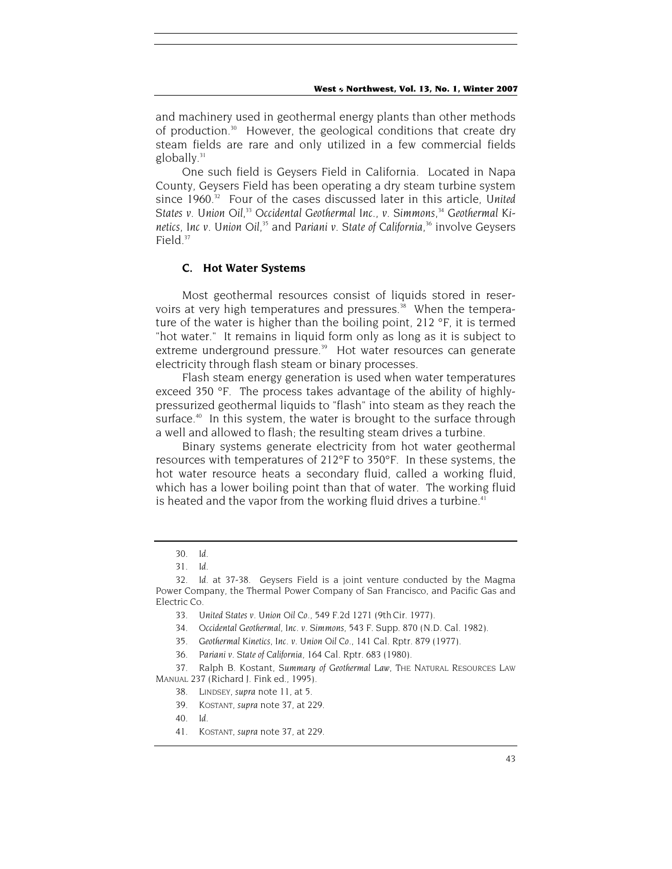and machinery used in geothermal energy plants than other methods of production.30 However, the geological conditions that create dry steam fields are rare and only utilized in a few commercial fields  $g$ lobally. $31$ 

One such field is Geysers Field in California. Located in Napa County, Geysers Field has been operating a dry steam turbine system since 1960.<sup>32</sup> Four of the cases discussed later in this article, United States v. Union Oil,<sup>33</sup> Occidental Geothermal Inc., v. Simmons,<sup>34</sup> Geothermal Ki*netics, Inc v. Union Oil*, 35 and *Pariani v. State of California*, 36 involve Geysers Field.<sup>37</sup>

## **C. Hot Water Systems**

Most geothermal resources consist of liquids stored in reservoirs at very high temperatures and pressures.<sup>38</sup> When the temperature of the water is higher than the boiling point, 212 °F, it is termed "hot water." It remains in liquid form only as long as it is subject to extreme underground pressure.<sup>39</sup> Hot water resources can generate electricity through flash steam or binary processes.

Flash steam energy generation is used when water temperatures exceed 350 °F. The process takes advantage of the ability of highlypressurized geothermal liquids to "flash" into steam as they reach the surface.<sup>40</sup> In this system, the water is brought to the surface through a well and allowed to flash; the resulting steam drives a turbine.

Binary systems generate electricity from hot water geothermal resources with temperatures of 212°F to 350°F. In these systems, the hot water resource heats a secondary fluid, called a working fluid, which has a lower boiling point than that of water. The working fluid is heated and the vapor from the working fluid drives a turbine.<sup>41</sup>

<sup>30</sup>*. Id*.

<sup>31</sup>*. Id*.

<sup>32</sup>*. Id*. at 37-38. Geysers Field is a joint venture conducted by the Magma Power Company, the Thermal Power Company of San Francisco, and Pacific Gas and Electric Co.

<sup>33</sup>*. United States v. Union Oil Co.*, 549 F.2d 1271 (9thCir. 1977).

<sup>34</sup>*. Occidental Geothermal, Inc. v. Simmons*, 543 F. Supp. 870 (N.D. Cal. 1982).

<sup>35</sup>*. Geothermal Kinetics, Inc. v. Union Oil Co*., 141 Cal. Rptr. 879 (1977).

<sup>36</sup>*. Pariani v. State of California*, 164 Cal. Rptr. 683 (1980).

<sup>37.</sup> Ralph B. Kostant, *Summary of Geothermal Law,* THE NATURAL RESOURCES LAW MANUAL 237 (Richard J. Fink ed., 1995).

<sup>38.</sup> LINDSEY, *supra* note 11, at 5.

<sup>39.</sup> KOSTANT, *supra* note 37, at 229.

<sup>40</sup>*. Id*.

<sup>41.</sup> KOSTANT, *supra* note 37, at 229.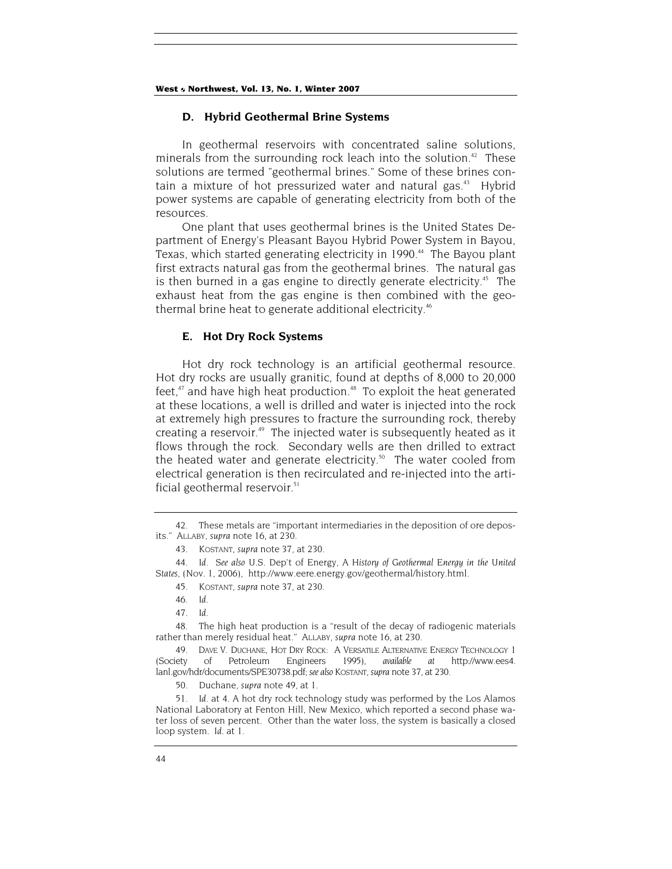## **D. Hybrid Geothermal Brine Systems**

In geothermal reservoirs with concentrated saline solutions, minerals from the surrounding rock leach into the solution.<sup>42</sup> These solutions are termed "geothermal brines." Some of these brines contain a mixture of hot pressurized water and natural gas.<sup>43</sup> Hybrid power systems are capable of generating electricity from both of the resources.

One plant that uses geothermal brines is the United States Department of Energy's Pleasant Bayou Hybrid Power System in Bayou, Texas, which started generating electricity in 1990.<sup>44</sup> The Bayou plant first extracts natural gas from the geothermal brines. The natural gas is then burned in a gas engine to directly generate electricity.<sup>45</sup> The exhaust heat from the gas engine is then combined with the geothermal brine heat to generate additional electricity.<sup>46</sup>

## **E. Hot Dry Rock Systems**

Hot dry rock technology is an artificial geothermal resource. Hot dry rocks are usually granitic, found at depths of 8,000 to 20,000 feet, $47$  and have high heat production. $48$  To exploit the heat generated at these locations, a well is drilled and water is injected into the rock at extremely high pressures to fracture the surrounding rock, thereby creating a reservoir.<sup>49</sup> The injected water is subsequently heated as it flows through the rock. Secondary wells are then drilled to extract the heated water and generate electricity.<sup>50</sup> The water cooled from electrical generation is then recirculated and re-injected into the artificial geothermal reservoir. $51$ 

<sup>42.</sup> These metals are "important intermediaries in the deposition of ore deposits." ALLABY, *supra* note 16, at 230.

<sup>43.</sup> KOSTANT, *supra* note 37, at 230.

<sup>44</sup>*. Id*. *See also* U.S. Dep't of Energy, *A History of Geothermal Energy in the United States*, (Nov. 1, 2006), http://www.eere.energy.gov/geothermal/history.html.

<sup>45.</sup> KOSTANT, *supra* note 37, at 230.

<sup>46</sup>*. Id*.

<sup>47</sup>*. Id.*

<sup>48.</sup> The high heat production is a "result of the decay of radiogenic materials rather than merely residual heat." ALLABY, *supra* note 16, at 230.

<sup>49.</sup> DAVE V. DUCHANE, HOT DRY ROCK: A VERSATILE ALTERNATIVE ENERGY TECHNOLOGY 1 (Society of Petroleum Engineers 1995), *available at* http://www.ees4. lanl.gov/hdr/documents/SPE30738.pdf; *see also* KOSTANT, *supra* note 37, at 230.

<sup>50.</sup> Duchane, *supra* note 49, at 1.

<sup>51</sup>*. Id*. at 4. A hot dry rock technology study was performed by the Los Alamos National Laboratory at Fenton Hill, New Mexico, which reported a second phase water loss of seven percent. Other than the water loss, the system is basically a closed loop system. *Id*. at 1.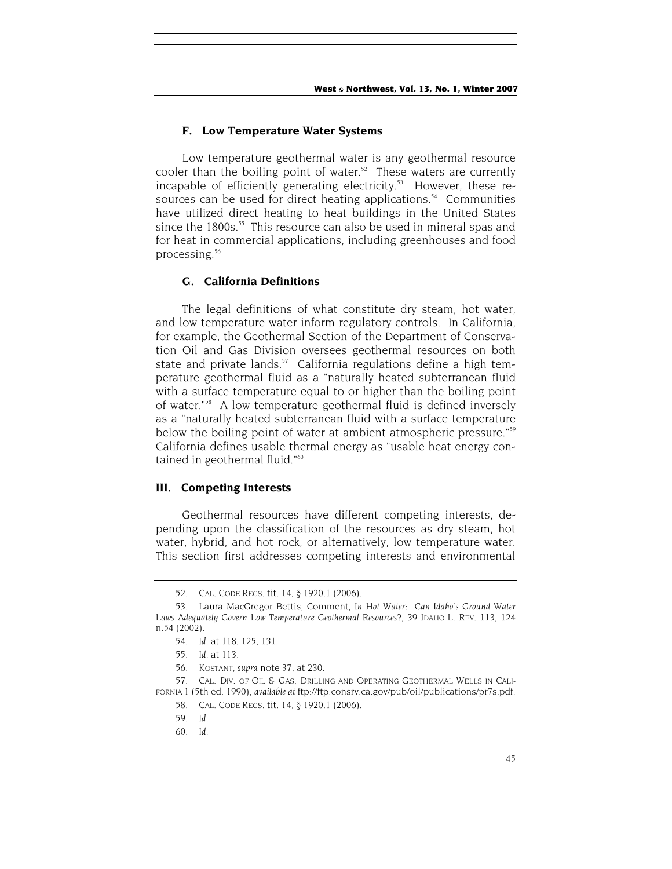#### **F. Low Temperature Water Systems**

Low temperature geothermal water is any geothermal resource cooler than the boiling point of water.<sup>52</sup> These waters are currently incapable of efficiently generating electricity.<sup>53</sup> However, these resources can be used for direct heating applications.<sup>54</sup> Communities have utilized direct heating to heat buildings in the United States since the 1800s.<sup>55</sup> This resource can also be used in mineral spas and for heat in commercial applications, including greenhouses and food processing.<sup>56</sup>

#### **G. California Definitions**

The legal definitions of what constitute dry steam, hot water, and low temperature water inform regulatory controls. In California, for example, the Geothermal Section of the Department of Conservation Oil and Gas Division oversees geothermal resources on both state and private lands.<sup>57</sup> California regulations define a high temperature geothermal fluid as a "naturally heated subterranean fluid with a surface temperature equal to or higher than the boiling point of water."58 A low temperature geothermal fluid is defined inversely as a "naturally heated subterranean fluid with a surface temperature below the boiling point of water at ambient atmospheric pressure."59 California defines usable thermal energy as "usable heat energy contained in geothermal fluid."<sup>60</sup>

## **III. Competing Interests**

Geothermal resources have different competing interests, depending upon the classification of the resources as dry steam, hot water, hybrid, and hot rock, or alternatively, low temperature water. This section first addresses competing interests and environmental

<sup>52.</sup> CAL. CODE REGS. tit. 14, § 1920.1 (2006).

<sup>53.</sup> Laura MacGregor Bettis, Comment, *In Hot Water: Can Idaho's Ground Water Laws Adequately Govern Low Temperature Geothermal Resources?,* 39 IDAHO L. REV. 113, 124 n.54 (2002).

<sup>54</sup>*. Id.* at 118, 125, 131.

<sup>55</sup>*. Id.* at 113.

<sup>56.</sup> KOSTANT, *supra* note 37, at 230.

<sup>57.</sup> CAL. DIV. OF OIL & GAS, DRILLING AND OPERATING GEOTHERMAL WELLS IN CALI-FORNIA 1 (5th ed. 1990), *available at* ftp://ftp.consrv.ca.gov/pub/oil/publications/pr7s.pdf.

<sup>58.</sup> CAL. CODE REGS. tit. 14, § 1920.1 (2006).

<sup>59</sup>*. Id.*

<sup>60</sup>*. Id.*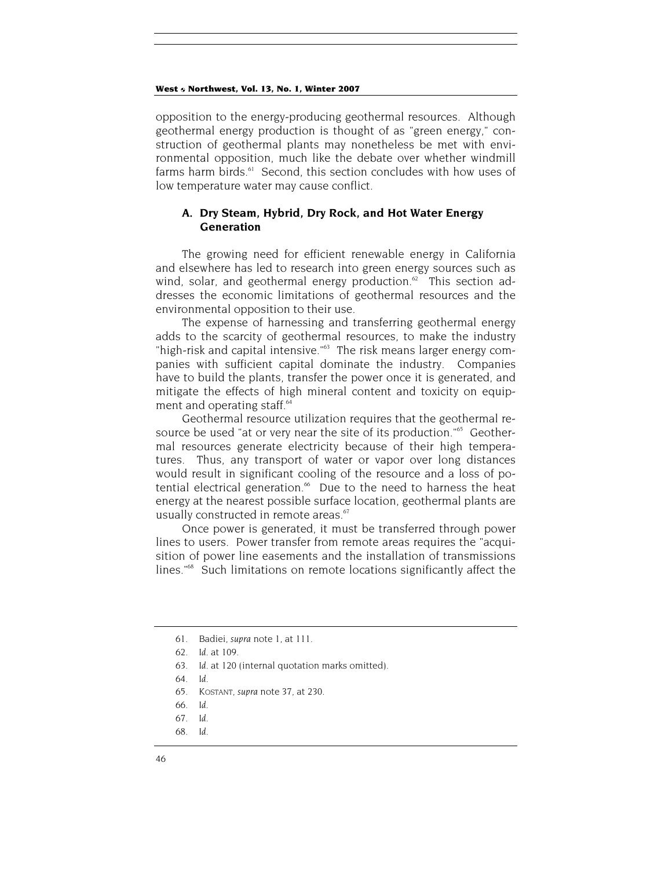opposition to the energy-producing geothermal resources. Although geothermal energy production is thought of as "green energy," construction of geothermal plants may nonetheless be met with environmental opposition, much like the debate over whether windmill farms harm birds.<sup>61</sup> Second, this section concludes with how uses of low temperature water may cause conflict.

## **A. Dry Steam, Hybrid, Dry Rock, and Hot Water Energy Generation**

The growing need for efficient renewable energy in California and elsewhere has led to research into green energy sources such as wind, solar, and geothermal energy production. $62$  This section addresses the economic limitations of geothermal resources and the environmental opposition to their use.

The expense of harnessing and transferring geothermal energy adds to the scarcity of geothermal resources, to make the industry "high-risk and capital intensive."<sup>63</sup> The risk means larger energy companies with sufficient capital dominate the industry. Companies have to build the plants, transfer the power once it is generated, and mitigate the effects of high mineral content and toxicity on equipment and operating staff.<sup>64</sup>

Geothermal resource utilization requires that the geothermal resource be used "at or very near the site of its production."<sup>65</sup> Geothermal resources generate electricity because of their high temperatures. Thus, any transport of water or vapor over long distances would result in significant cooling of the resource and a loss of potential electrical generation.<sup>66</sup> Due to the need to harness the heat energy at the nearest possible surface location, geothermal plants are usually constructed in remote areas.<sup>67</sup>

Once power is generated, it must be transferred through power lines to users. Power transfer from remote areas requires the "acquisition of power line easements and the installation of transmissions lines."68 Such limitations on remote locations significantly affect the

<sup>61.</sup> Badiei, *supra* note 1, at 111.

<sup>62</sup>*. Id.* at 109.

<sup>63</sup>*. Id*. at 120 (internal quotation marks omitted).

<sup>64</sup>*. Id.*

<sup>65.</sup> KOSTANT, *supra* note 37, at 230.

<sup>66</sup>*. Id*.

<sup>67</sup>*. Id*.

<sup>68</sup>*. Id*.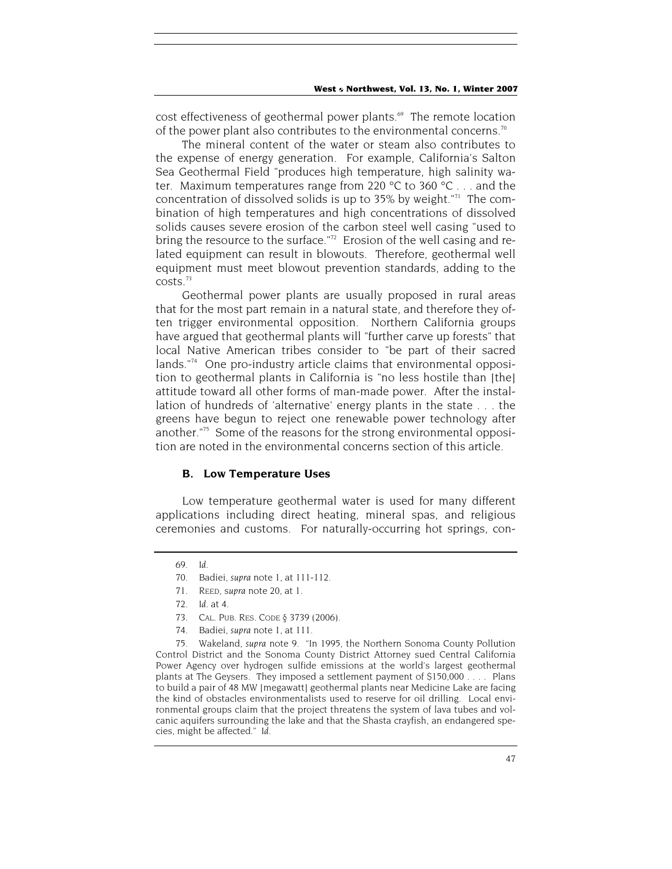cost effectiveness of geothermal power plants.<sup>69</sup> The remote location of the power plant also contributes to the environmental concerns.<sup>70</sup>

The mineral content of the water or steam also contributes to the expense of energy generation. For example, California's Salton Sea Geothermal Field "produces high temperature, high salinity water. Maximum temperatures range from 220 °C to 360 °C . . . and the concentration of dissolved solids is up to 35% by weight."71 The combination of high temperatures and high concentrations of dissolved solids causes severe erosion of the carbon steel well casing "used to bring the resource to the surface."<sup>72</sup> Erosion of the well casing and related equipment can result in blowouts. Therefore, geothermal well equipment must meet blowout prevention standards, adding to the  $costs<sup>73</sup>$ 

Geothermal power plants are usually proposed in rural areas that for the most part remain in a natural state, and therefore they often trigger environmental opposition. Northern California groups have argued that geothermal plants will "further carve up forests" that local Native American tribes consider to "be part of their sacred lands."<sup>74</sup> One pro-industry article claims that environmental opposition to geothermal plants in California is "no less hostile than [the] attitude toward all other forms of man-made power. After the installation of hundreds of 'alternative' energy plants in the state . . . the greens have begun to reject one renewable power technology after another."75 Some of the reasons for the strong environmental opposition are noted in the environmental concerns section of this article.

## **B. Low Temperature Uses**

Low temperature geothermal water is used for many different applications including direct heating, mineral spas, and religious ceremonies and customs. For naturally-occurring hot springs, con-

74. Badiei, *supra* note 1, at 111.

75. Wakeland, *supra* note 9. "In 1995, the Northern Sonoma County Pollution Control District and the Sonoma County District Attorney sued Central California Power Agency over hydrogen sulfide emissions at the world's largest geothermal plants at The Geysers. They imposed a settlement payment of \$150,000 . . . . Plans to build a pair of 48 MW [megawatt] geothermal plants near Medicine Lake are facing the kind of obstacles environmentalists used to reserve for oil drilling. Local environmental groups claim that the project threatens the system of lava tubes and volcanic aquifers surrounding the lake and that the Shasta crayfish, an endangered species, might be affected." *Id*.

<sup>69</sup>*. Id*.

<sup>70.</sup> Badiei, *supra* note 1, at 111-112.

<sup>71.</sup> REED, s*upra* note 20, at 1.

<sup>72</sup>*. Id*. at 4.

<sup>73.</sup> CAL. PUB. RES. CODE § 3739 (2006).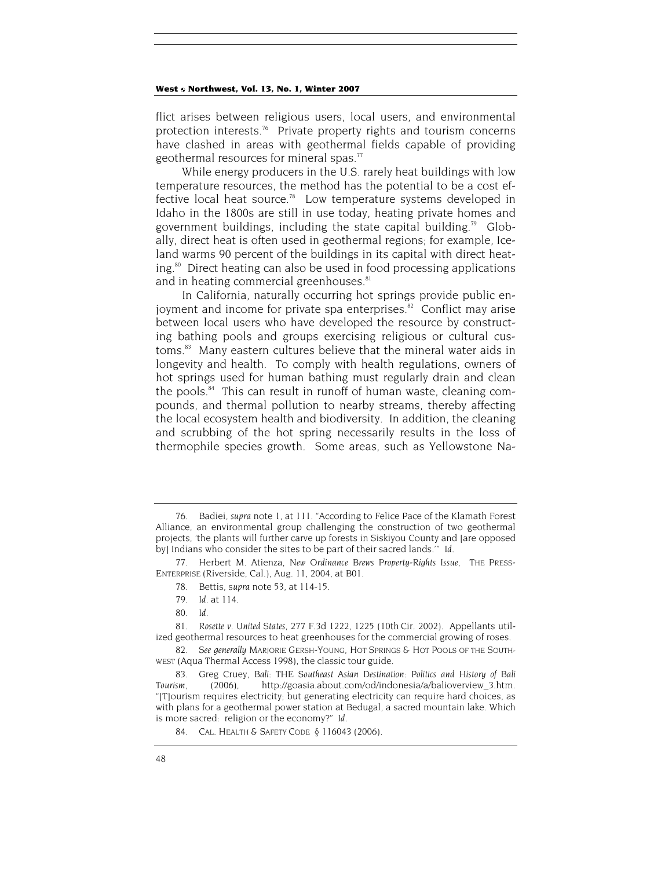flict arises between religious users, local users, and environmental protection interests.<sup>76</sup> Private property rights and tourism concerns have clashed in areas with geothermal fields capable of providing geothermal resources for mineral spas. $77$ 

While energy producers in the U.S. rarely heat buildings with low temperature resources, the method has the potential to be a cost effective local heat source.<sup>78</sup> Low temperature systems developed in Idaho in the 1800s are still in use today, heating private homes and government buildings, including the state capital building.<sup>79</sup> Globally, direct heat is often used in geothermal regions; for example, Iceland warms 90 percent of the buildings in its capital with direct heating.<sup>80</sup> Direct heating can also be used in food processing applications and in heating commercial greenhouses.<sup>81</sup>

In California, naturally occurring hot springs provide public enjoyment and income for private spa enterprises. $82$  Conflict may arise between local users who have developed the resource by constructing bathing pools and groups exercising religious or cultural customs.<sup>83</sup> Many eastern cultures believe that the mineral water aids in longevity and health. To comply with health regulations, owners of hot springs used for human bathing must regularly drain and clean the pools.<sup>84</sup> This can result in runoff of human waste, cleaning compounds, and thermal pollution to nearby streams, thereby affecting the local ecosystem health and biodiversity. In addition, the cleaning and scrubbing of the hot spring necessarily results in the loss of thermophile species growth. Some areas, such as Yellowstone Na-

<sup>76.</sup> Badiei, *supra* note 1, at 111. "According to Felice Pace of the Klamath Forest Alliance, an environmental group challenging the construction of two geothermal projects, 'the plants will further carve up forests in Siskiyou County and [are opposed by] Indians who consider the sites to be part of their sacred lands.'" *Id*.

<sup>77.</sup> Herbert M. Atienza*, New Ordinance Brews Property-Rights Issue*, THE PRESS-ENTERPRISE (Riverside, Cal.), Aug. 11, 2004, at B01.

<sup>78.</sup> Bettis, s*upra* note 53, at 114-15.

<sup>79</sup>*. Id.* at 114.

<sup>80</sup>*. Id*.

<sup>81</sup>*. Rosette v. United States,* 277 F.3d 1222, 1225 (10th Cir. 2002). Appellants utilized geothermal resources to heat greenhouses for the commercial growing of roses.

<sup>82</sup>*. See generally* MARJORIE GERSH-YOUNG, HOT SPRINGS & HOT POOLS OF THE SOUTH-WEST (Aqua Thermal Access 1998), the classic tour guide.

<sup>83.</sup> Greg Cruey, *Bali: THE Southeast Asian Destination: Politics and History of Bali Tourism*, (2006), http://goasia.about.com/od/indonesia/a/balioverview\_3.htm. "[T]ourism requires electricity; but generating electricity can require hard choices, as with plans for a geothermal power station at Bedugal, a sacred mountain lake. Which is more sacred: religion or the economy?" *Id*.

<sup>84.</sup> CAL. HEALTH & SAFETY CODE § 116043 (2006).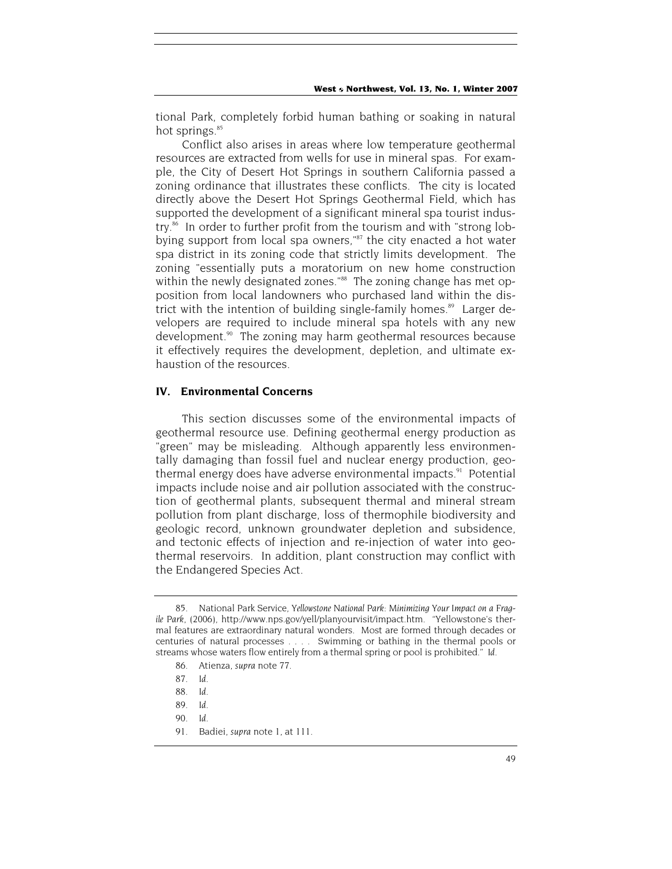tional Park, completely forbid human bathing or soaking in natural hot springs.<sup>85</sup>

Conflict also arises in areas where low temperature geothermal resources are extracted from wells for use in mineral spas. For example, the City of Desert Hot Springs in southern California passed a zoning ordinance that illustrates these conflicts. The city is located directly above the Desert Hot Springs Geothermal Field, which has supported the development of a significant mineral spa tourist industry.<sup>86</sup> In order to further profit from the tourism and with "strong lobbying support from local spa owners,"87 the city enacted a hot water spa district in its zoning code that strictly limits development. The zoning "essentially puts a moratorium on new home construction within the newly designated zones."<sup>88</sup> The zoning change has met opposition from local landowners who purchased land within the district with the intention of building single-family homes.<sup>89</sup> Larger developers are required to include mineral spa hotels with any new development.<sup>90</sup> The zoning may harm geothermal resources because it effectively requires the development, depletion, and ultimate exhaustion of the resources.

## **IV. Environmental Concerns**

This section discusses some of the environmental impacts of geothermal resource use. Defining geothermal energy production as "green" may be misleading. Although apparently less environmentally damaging than fossil fuel and nuclear energy production, geothermal energy does have adverse environmental impacts.<sup>91</sup> Potential impacts include noise and air pollution associated with the construction of geothermal plants, subsequent thermal and mineral stream pollution from plant discharge, loss of thermophile biodiversity and geologic record, unknown groundwater depletion and subsidence, and tectonic effects of injection and re-injection of water into geothermal reservoirs. In addition, plant construction may conflict with the Endangered Species Act.

<sup>85.</sup> National Park Service, *Yellowstone National Park: Minimizing Your Impact on a Fragile Park*, (2006), http://www.nps.gov/yell/planyourvisit/impact.htm. "Yellowstone's thermal features are extraordinary natural wonders. Most are formed through decades or centuries of natural processes . . . . Swimming or bathing in the thermal pools or streams whose waters flow entirely from a thermal spring or pool is prohibited." *Id*.

<sup>86.</sup> Atienza, *supra* note 77.

<sup>87</sup>*. Id*.

<sup>88</sup>*. Id*.

<sup>89</sup>*. Id*.

<sup>90</sup>*. Id*.

<sup>91.</sup> Badiei, *supra* note 1, at 111.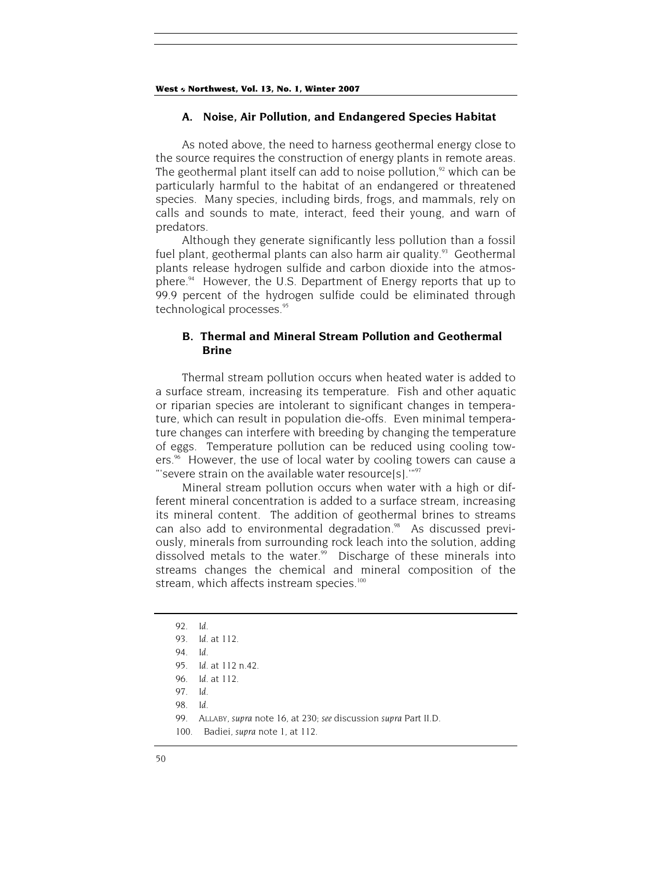#### **A. Noise, Air Pollution, and Endangered Species Habitat**

As noted above, the need to harness geothermal energy close to the source requires the construction of energy plants in remote areas. The geothermal plant itself can add to noise pollution, $92$  which can be particularly harmful to the habitat of an endangered or threatened species. Many species, including birds, frogs, and mammals, rely on calls and sounds to mate, interact, feed their young, and warn of predators.

Although they generate significantly less pollution than a fossil fuel plant, geothermal plants can also harm air quality. $93$  Geothermal plants release hydrogen sulfide and carbon dioxide into the atmosphere.<sup>94</sup> However, the U.S. Department of Energy reports that up to 99.9 percent of the hydrogen sulfide could be eliminated through technological processes.<sup>95</sup>

## **B. Thermal and Mineral Stream Pollution and Geothermal Brine**

Thermal stream pollution occurs when heated water is added to a surface stream, increasing its temperature. Fish and other aquatic or riparian species are intolerant to significant changes in temperature, which can result in population die-offs. Even minimal temperature changes can interfere with breeding by changing the temperature of eggs. Temperature pollution can be reduced using cooling towers.<sup>%</sup> However, the use of local water by cooling towers can cause a "'severe strain on the available water resource[s]."<sup>97</sup>

Mineral stream pollution occurs when water with a high or different mineral concentration is added to a surface stream, increasing its mineral content. The addition of geothermal brines to streams can also add to environmental degradation.<sup>98</sup> As discussed previously, minerals from surrounding rock leach into the solution, adding dissolved metals to the water.<sup>99</sup> Discharge of these minerals into streams changes the chemical and mineral composition of the stream, which affects instream species.<sup>100</sup>

<sup>92</sup>*. Id*.

<sup>93</sup>*. Id*. at 112.

<sup>94</sup>*. Id*.

<sup>95</sup>*. Id*. at 112 n.42.

<sup>96</sup>*. Id*. at 112.

<sup>97</sup>*. Id.*

<sup>98</sup>*. Id*.

<sup>99.</sup> ALLABY, *supra* note 16, at 230; *see* discussion *supra* Part II.D.

<sup>100.</sup> Badiei, *supra* note 1, at 112.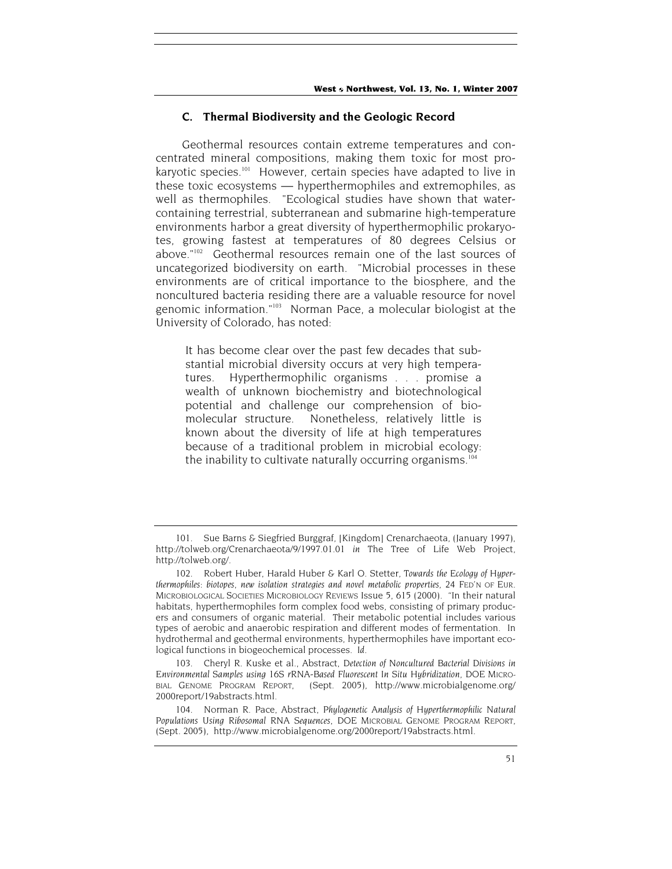## **C. Thermal Biodiversity and the Geologic Record**

Geothermal resources contain extreme temperatures and concentrated mineral compositions, making them toxic for most prokaryotic species.<sup>101</sup> However, certain species have adapted to live in these toxic ecosystems — hyperthermophiles and extremophiles, as well as thermophiles. "Ecological studies have shown that watercontaining terrestrial, subterranean and submarine high-temperature environments harbor a great diversity of hyperthermophilic prokaryotes, growing fastest at temperatures of 80 degrees Celsius or above."102 Geothermal resources remain one of the last sources of uncategorized biodiversity on earth. "Microbial processes in these environments are of critical importance to the biosphere, and the noncultured bacteria residing there are a valuable resource for novel genomic information."103 Norman Pace, a molecular biologist at the University of Colorado, has noted:

It has become clear over the past few decades that substantial microbial diversity occurs at very high temperatures. Hyperthermophilic organisms . . . promise a wealth of unknown biochemistry and biotechnological potential and challenge our comprehension of biomolecular structure. Nonetheless, relatively little is known about the diversity of life at high temperatures because of a traditional problem in microbial ecology: the inability to cultivate naturally occurring organisms.<sup>104</sup>

<sup>101.</sup> Sue Barns & Siegfried Burggraf, [Kingdom] Crenarchaeota, (January 1997), http://tolweb.org/Crenarchaeota/9/1997.01.01 *in* The Tree of Life Web Project, http://tolweb.org/.

<sup>102.</sup> Robert Huber, Harald Huber & Karl O. Stetter, *Towards the Ecology of Hyperthermophiles: biotopes, new isolation strategies and novel metabolic properties*, 24 FED'N OF EUR. MICROBIOLOGICAL SOCIETIES MICROBIOLOGY REVIEWS Issue 5, 615 (2000). "In their natural habitats, hyperthermophiles form complex food webs, consisting of primary producers and consumers of organic material. Their metabolic potential includes various types of aerobic and anaerobic respiration and different modes of fermentation. In hydrothermal and geothermal environments, hyperthermophiles have important ecological functions in biogeochemical processes. *Id*.

<sup>103.</sup> Cheryl R. Kuske et al., Abstract, *Detection of Noncultured Bacterial Divisions in Environmental Samples using 16S rRNA-Based Fluorescent In Situ Hybridization*, DOE MICRO-BIAL GENOME PROGRAM REPORT, (Sept. 2005), http://www.microbialgenome.org/ 2000report/19abstracts.html.

<sup>104.</sup> Norman R. Pace, Abstract, *Phylogenetic Analysis of Hyperthermophilic Natural Populations Using Ribosomal RNA Sequences,* DOE MICROBIAL GENOME PROGRAM REPORT, (Sept. 2005), http://www.microbialgenome.org/2000report/19abstracts.html.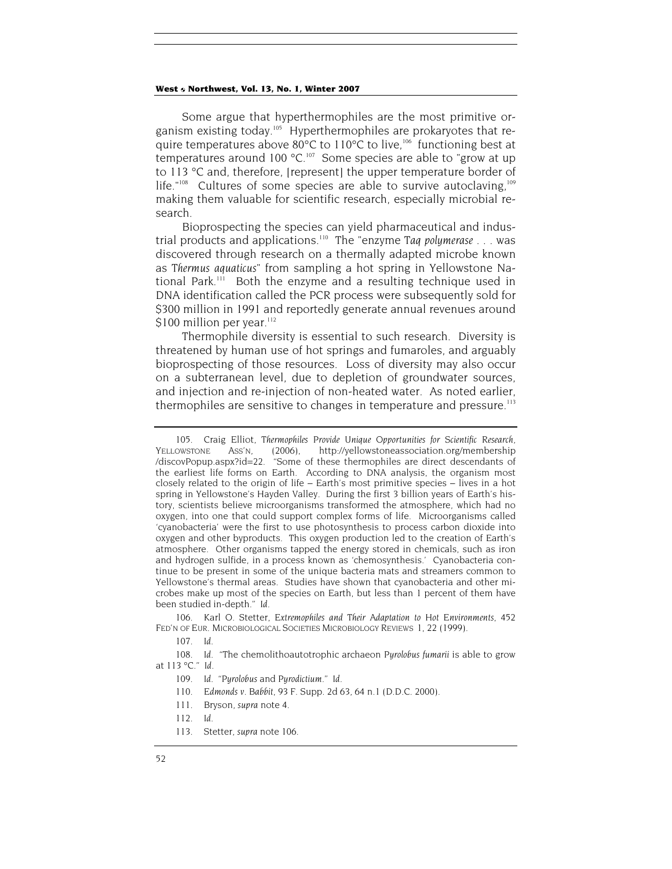Some argue that hyperthermophiles are the most primitive organism existing today.105 Hyperthermophiles are prokaryotes that require temperatures above  $80^{\circ}$ C to 110 $^{\circ}$ C to live,<sup>106</sup> functioning best at temperatures around 100  $^{\circ}$ C.<sup>107</sup> Some species are able to "grow at up to 113 °C and, therefore, [represent] the upper temperature border of life."<sup>108</sup> Cultures of some species are able to survive autoclaving,<sup>109</sup> making them valuable for scientific research, especially microbial research.

Bioprospecting the species can yield pharmaceutical and industrial products and applications.110 The "enzyme *Taq polymerase* . . . was discovered through research on a thermally adapted microbe known as *Thermus aquaticus*" from sampling a hot spring in Yellowstone National Park.<sup>111</sup> Both the enzyme and a resulting technique used in DNA identification called the PCR process were subsequently sold for \$300 million in 1991 and reportedly generate annual revenues around \$100 million per year.<sup>112</sup>

Thermophile diversity is essential to such research. Diversity is threatened by human use of hot springs and fumaroles, and arguably bioprospecting of those resources. Loss of diversity may also occur on a subterranean level, due to depletion of groundwater sources, and injection and re-injection of non-heated water. As noted earlier, thermophiles are sensitive to changes in temperature and pressure.<sup>113</sup>

106. Karl O. Stetter, *Extremophiles and Their Adaptation to Hot Environments*, 452 FED'N OF EUR. MICROBIOLOGICAL SOCIETIES MICROBIOLOGY REVIEWS 1, 22 (1999).

107*. Id.*

108*. Id*. "The chemolithoautotrophic archaeon *Pyrolobus fumarii* is able to grow at 113 °C." *Id*.

<sup>105.</sup> Craig Elliot, *Thermophiles Provide Unique Opportunities for Scientific Research*, YELLOWSTONE ASS'N, (2006), http://yellowstoneassociation.org/membership /discovPopup.aspx?id=22. "Some of these thermophiles are direct descendants of the earliest life forms on Earth. According to DNA analysis, the organism most closely related to the origin of life – Earth's most primitive species – lives in a hot spring in Yellowstone's Hayden Valley. During the first 3 billion years of Earth's history, scientists believe microorganisms transformed the atmosphere, which had no oxygen, into one that could support complex forms of life. Microorganisms called 'cyanobacteria' were the first to use photosynthesis to process carbon dioxide into oxygen and other byproducts. This oxygen production led to the creation of Earth's atmosphere. Other organisms tapped the energy stored in chemicals, such as iron and hydrogen sulfide, in a process known as 'chemosynthesis.' Cyanobacteria continue to be present in some of the unique bacteria mats and streamers common to Yellowstone's thermal areas. Studies have shown that cyanobacteria and other microbes make up most of the species on Earth, but less than 1 percent of them have been studied in-depth." *Id*.

<sup>109</sup>*. Id*. "*Pyrolobus* and *Pyrodictium*." *Id*.

<sup>110</sup>*. Edmonds v. Babbit,* 93 F. Supp. 2d 63, 64 n.1 (D.D.C. 2000).

<sup>111.</sup> Bryson, *supra* note 4.

<sup>112</sup>*. Id*.

<sup>113.</sup> Stetter, *supra* note 106.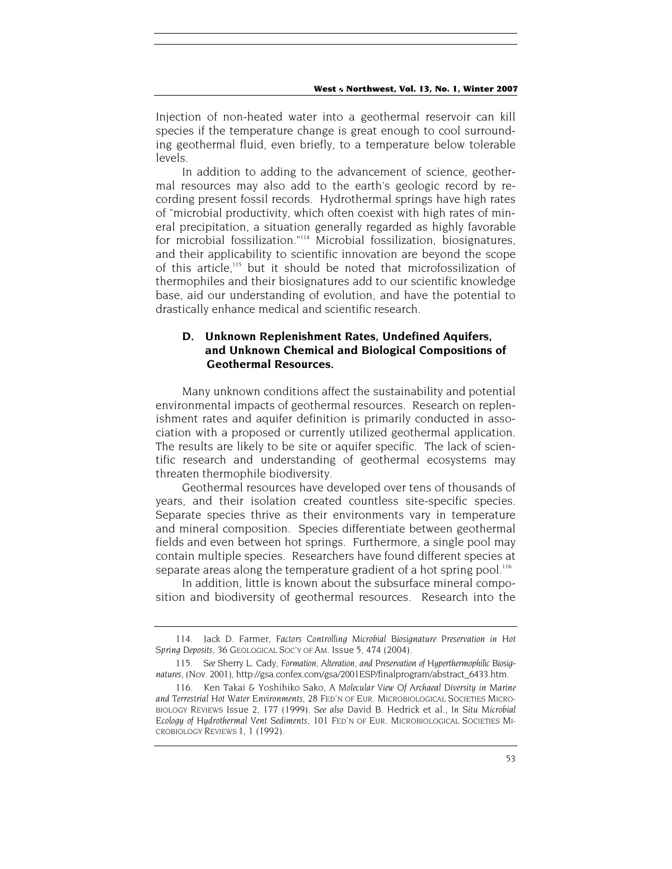Injection of non-heated water into a geothermal reservoir can kill species if the temperature change is great enough to cool surrounding geothermal fluid, even briefly, to a temperature below tolerable levels.

In addition to adding to the advancement of science, geothermal resources may also add to the earth's geologic record by recording present fossil records. Hydrothermal springs have high rates of "microbial productivity, which often coexist with high rates of mineral precipitation, a situation generally regarded as highly favorable for microbial fossilization."114 Microbial fossilization, biosignatures, and their applicability to scientific innovation are beyond the scope of this article,<sup>115</sup> but it should be noted that microfossilization of thermophiles and their biosignatures add to our scientific knowledge base, aid our understanding of evolution, and have the potential to drastically enhance medical and scientific research.

## **D. Unknown Replenishment Rates, Undefined Aquifers, and Unknown Chemical and Biological Compositions of Geothermal Resources.**

Many unknown conditions affect the sustainability and potential environmental impacts of geothermal resources. Research on replenishment rates and aquifer definition is primarily conducted in association with a proposed or currently utilized geothermal application. The results are likely to be site or aquifer specific. The lack of scientific research and understanding of geothermal ecosystems may threaten thermophile biodiversity.

Geothermal resources have developed over tens of thousands of years, and their isolation created countless site-specific species. Separate species thrive as their environments vary in temperature and mineral composition. Species differentiate between geothermal fields and even between hot springs. Furthermore, a single pool may contain multiple species. Researchers have found different species at separate areas along the temperature gradient of a hot spring pool.<sup>116</sup>

In addition, little is known about the subsurface mineral composition and biodiversity of geothermal resources. Research into the

<sup>114.</sup> Jack D. Farmer, *Factors Controlling Microbial Biosignature Preservation in Hot Spring Deposits*, 36 GEOLOGICAL SOC'Y OF AM. Issue 5, 474 (2004).

<sup>115</sup>*. See* Sherry L. Cady, *Formation, Alteration, and Preservation of Hyperthermophilic Biosignatures*, (Nov. 2001), http://gsa.confex.com/gsa/2001ESP/finalprogram/abstract\_6433.htm.

<sup>116.</sup> Ken Takai & Yoshihiko Sako, *A Molecular View Of Archaeal Diversity in Marine and Terrestrial Hot Water Environments*, 28 FED'N OF EUR. MICROBIOLOGICAL SOCIETIES MICRO-BIOLOGY REVIEWS Issue 2, 177 (1999). *See also* David B. Hedrick et al., *In Situ Microbial Ecology of Hydrothermal Vent Sediments,* 101 FED'N OF EUR. MICROBIOLOGICAL SOCIETIES MI-CROBIOLOGY REVIEWS 1, 1 (1992).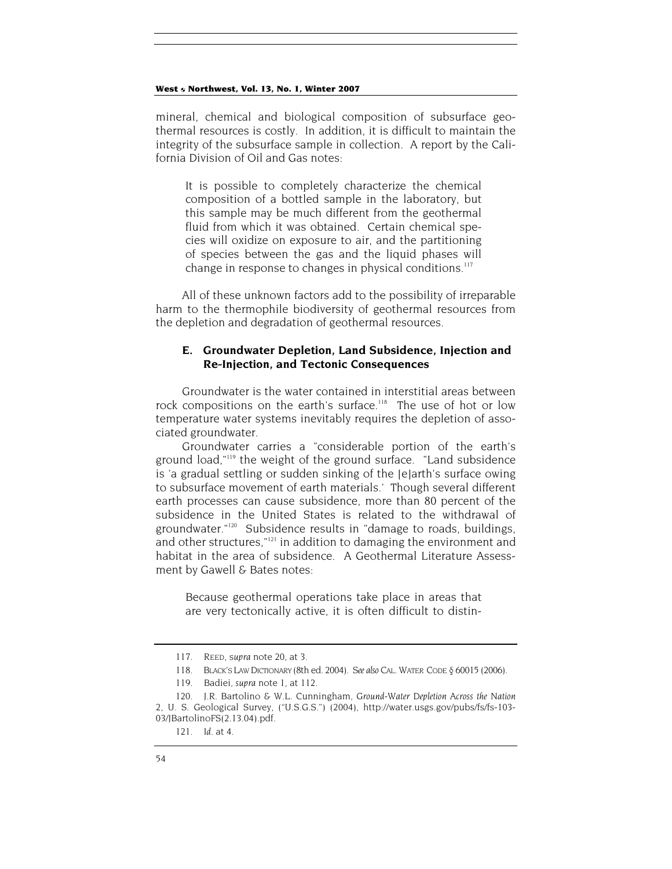mineral, chemical and biological composition of subsurface geothermal resources is costly. In addition, it is difficult to maintain the integrity of the subsurface sample in collection. A report by the California Division of Oil and Gas notes:

It is possible to completely characterize the chemical composition of a bottled sample in the laboratory, but this sample may be much different from the geothermal fluid from which it was obtained. Certain chemical species will oxidize on exposure to air, and the partitioning of species between the gas and the liquid phases will change in response to changes in physical conditions.<sup>117</sup>

All of these unknown factors add to the possibility of irreparable harm to the thermophile biodiversity of geothermal resources from the depletion and degradation of geothermal resources.

## **E. Groundwater Depletion, Land Subsidence, Injection and Re-Injection, and Tectonic Consequences**

Groundwater is the water contained in interstitial areas between rock compositions on the earth's surface.<sup>118</sup> The use of hot or low temperature water systems inevitably requires the depletion of associated groundwater.

Groundwater carries a "considerable portion of the earth's ground load,"119 the weight of the ground surface. "Land subsidence is 'a gradual settling or sudden sinking of the [e]arth's surface owing to subsurface movement of earth materials.' Though several different earth processes can cause subsidence, more than 80 percent of the subsidence in the United States is related to the withdrawal of groundwater."120 Subsidence results in "damage to roads, buildings, and other structures,"<sup>121</sup> in addition to damaging the environment and habitat in the area of subsidence. A Geothermal Literature Assessment by Gawell & Bates notes:

Because geothermal operations take place in areas that are very tectonically active, it is often difficult to distin-

<sup>117.</sup> REED, s*upra* note 20, at 3.

<sup>118.</sup> BLACK'S LAW DICTIONARY (8th ed. 2004). *See also* CAL. WATER CODE § 60015 (2006).

<sup>119.</sup> Badiei, *supra* note 1, at 112.

<sup>120.</sup> J.R. Bartolino & W.L. Cunningham, *Ground-Water Depletion Across the Nation* 2*,* U. S. Geological Survey, ("U.S.G.S.") (2004), http://water.usgs.gov/pubs/fs/fs-103- 03/JBartolinoFS(2.13.04).pdf.

<sup>121</sup>*. Id*. at 4.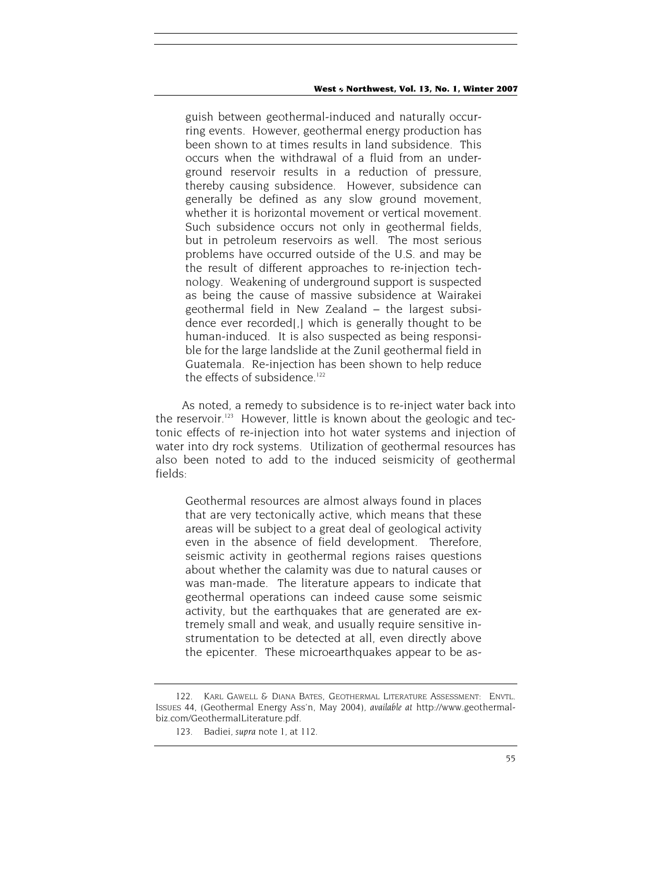guish between geothermal-induced and naturally occurring events. However, geothermal energy production has been shown to at times results in land subsidence. This occurs when the withdrawal of a fluid from an underground reservoir results in a reduction of pressure, thereby causing subsidence. However, subsidence can generally be defined as any slow ground movement, whether it is horizontal movement or vertical movement. Such subsidence occurs not only in geothermal fields, but in petroleum reservoirs as well. The most serious problems have occurred outside of the U.S. and may be the result of different approaches to re-injection technology. Weakening of underground support is suspected as being the cause of massive subsidence at Wairakei geothermal field in New Zealand – the largest subsidence ever recorded[,] which is generally thought to be human-induced. It is also suspected as being responsible for the large landslide at the Zunil geothermal field in Guatemala. Re-injection has been shown to help reduce the effects of subsidence.<sup>122</sup>

As noted, a remedy to subsidence is to re-inject water back into the reservoir.<sup>123</sup> However, little is known about the geologic and tectonic effects of re-injection into hot water systems and injection of water into dry rock systems. Utilization of geothermal resources has also been noted to add to the induced seismicity of geothermal fields:

Geothermal resources are almost always found in places that are very tectonically active, which means that these areas will be subject to a great deal of geological activity even in the absence of field development. Therefore, seismic activity in geothermal regions raises questions about whether the calamity was due to natural causes or was man-made. The literature appears to indicate that geothermal operations can indeed cause some seismic activity, but the earthquakes that are generated are extremely small and weak, and usually require sensitive instrumentation to be detected at all, even directly above the epicenter. These microearthquakes appear to be as-

<sup>122.</sup> KARL GAWELL & DIANA BATES, GEOTHERMAL LITERATURE ASSESSMENT: ENVTL. ISSUES 44, (Geothermal Energy Ass'n, May 2004), *available at* http://www.geothermalbiz.com/GeothermalLiterature.pdf.

<sup>123.</sup> Badiei, *supra* note 1, at 112.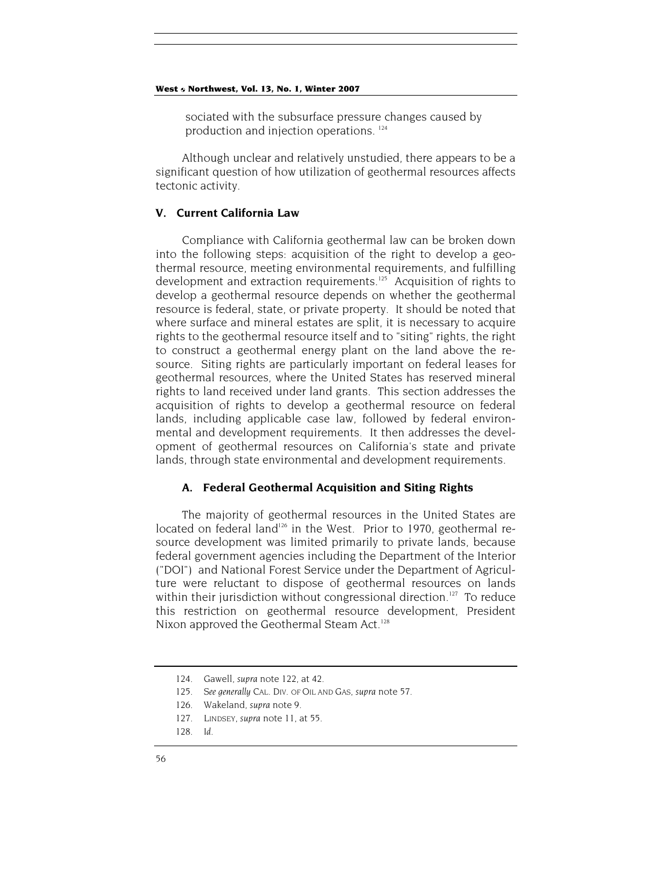sociated with the subsurface pressure changes caused by production and injection operations. 124

Although unclear and relatively unstudied, there appears to be a significant question of how utilization of geothermal resources affects tectonic activity.

## **V. Current California Law**

Compliance with California geothermal law can be broken down into the following steps: acquisition of the right to develop a geothermal resource, meeting environmental requirements, and fulfilling development and extraction requirements.<sup>125</sup> Acquisition of rights to develop a geothermal resource depends on whether the geothermal resource is federal, state, or private property. It should be noted that where surface and mineral estates are split, it is necessary to acquire rights to the geothermal resource itself and to "siting" rights, the right to construct a geothermal energy plant on the land above the resource. Siting rights are particularly important on federal leases for geothermal resources, where the United States has reserved mineral rights to land received under land grants. This section addresses the acquisition of rights to develop a geothermal resource on federal lands, including applicable case law, followed by federal environmental and development requirements. It then addresses the development of geothermal resources on California's state and private lands, through state environmental and development requirements.

## **A. Federal Geothermal Acquisition and Siting Rights**

The majority of geothermal resources in the United States are located on federal land<sup>126</sup> in the West. Prior to 1970, geothermal resource development was limited primarily to private lands, because federal government agencies including the Department of the Interior ("DOI") and National Forest Service under the Department of Agriculture were reluctant to dispose of geothermal resources on lands within their jurisdiction without congressional direction.<sup>127</sup> To reduce this restriction on geothermal resource development, President Nixon approved the Geothermal Steam Act.<sup>128</sup>

<sup>124.</sup> Gawell, *supra* note 122, at 42.

<sup>125</sup>*. See generally* CAL. DIV. OF OIL AND GAS, *supra* note 57.

<sup>126.</sup> Wakeland, *supra* note 9.

<sup>127.</sup> LINDSEY, *supra* note 11, at 55.

<sup>128</sup>*. Id*.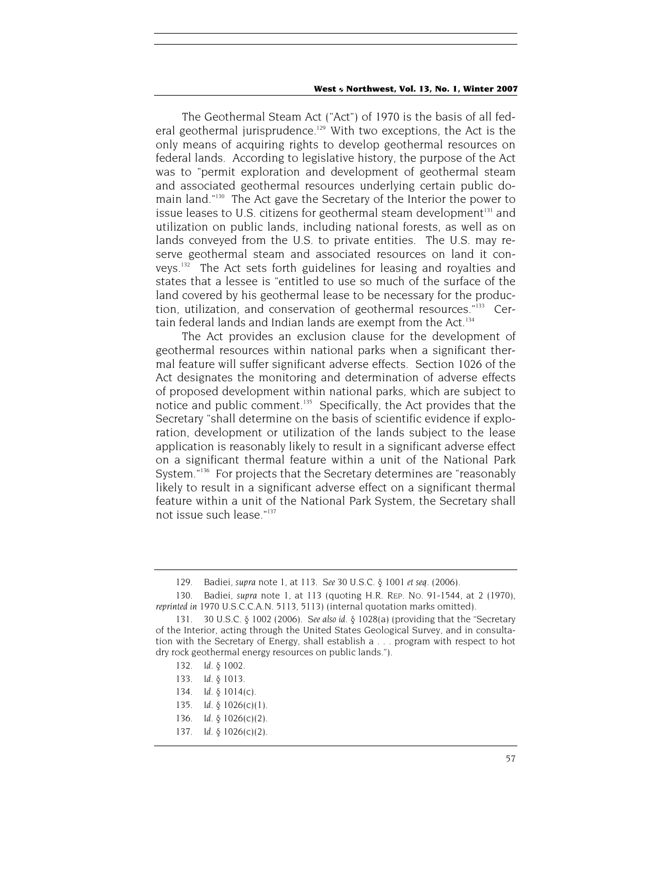The Geothermal Steam Act ("Act") of 1970 is the basis of all federal geothermal jurisprudence.<sup>129</sup> With two exceptions, the Act is the only means of acquiring rights to develop geothermal resources on federal lands. According to legislative history, the purpose of the Act was to "permit exploration and development of geothermal steam and associated geothermal resources underlying certain public domain land."130 The Act gave the Secretary of the Interior the power to issue leases to U.S. citizens for geothermal steam development<sup>131</sup> and utilization on public lands, including national forests, as well as on lands conveyed from the U.S. to private entities. The U.S. may reserve geothermal steam and associated resources on land it conveys.132 The Act sets forth guidelines for leasing and royalties and states that a lessee is "entitled to use so much of the surface of the land covered by his geothermal lease to be necessary for the production, utilization, and conservation of geothermal resources."<sup>133</sup> Certain federal lands and Indian lands are exempt from the Act.<sup>134</sup>

The Act provides an exclusion clause for the development of geothermal resources within national parks when a significant thermal feature will suffer significant adverse effects. Section 1026 of the Act designates the monitoring and determination of adverse effects of proposed development within national parks, which are subject to notice and public comment.<sup>135</sup> Specifically, the Act provides that the Secretary "shall determine on the basis of scientific evidence if exploration, development or utilization of the lands subject to the lease application is reasonably likely to result in a significant adverse effect on a significant thermal feature within a unit of the National Park System."<sup>136</sup> For projects that the Secretary determines are "reasonably likely to result in a significant adverse effect on a significant thermal feature within a unit of the National Park System, the Secretary shall not issue such lease."137

<sup>129.</sup> Badiei, *supra* note 1, at 113. *See* 30 U.S.C. § 1001 *et seq*. (2006).

<sup>130.</sup> Badiei, *supra* note 1, at 113 (quoting H.R. REP. NO. 91-1544, at 2 (1970), *reprinted in* 1970 U.S.C.C.A.N. 5113, 5113) (internal quotation marks omitted).

<sup>131. 30</sup> U.S.C. § 1002 (2006). *See also id.* § 1028(a) (providing that the "Secretary of the Interior, acting through the United States Geological Survey, and in consultation with the Secretary of Energy, shall establish a . . . program with respect to hot dry rock geothermal energy resources on public lands.").

<sup>132</sup>*. Id.* § 1002.

<sup>133</sup>*. Id.* § 1013.

<sup>134</sup>*. Id.* § 1014(c).

<sup>135</sup>*. Id.* § 1026(c)(1).

<sup>136</sup>*. Id.* § 1026(c)(2).

<sup>137</sup>*. Id.* § 1026(c)(2).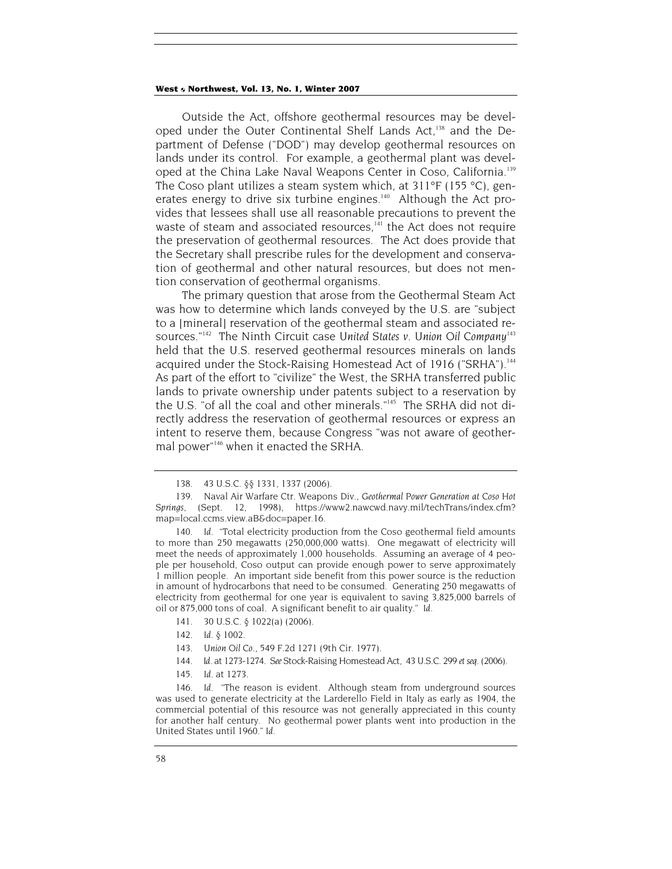Outside the Act, offshore geothermal resources may be developed under the Outer Continental Shelf Lands Act,<sup>138</sup> and the Department of Defense ("DOD") may develop geothermal resources on lands under its control. For example, a geothermal plant was developed at the China Lake Naval Weapons Center in Coso, California.<sup>139</sup> The Coso plant utilizes a steam system which, at 311°F (155 °C), generates energy to drive six turbine engines.<sup>140</sup> Although the Act provides that lessees shall use all reasonable precautions to prevent the waste of steam and associated resources,<sup>141</sup> the Act does not require the preservation of geothermal resources. The Act does provide that the Secretary shall prescribe rules for the development and conservation of geothermal and other natural resources, but does not mention conservation of geothermal organisms.

The primary question that arose from the Geothermal Steam Act was how to determine which lands conveyed by the U.S. are "subject to a [mineral] reservation of the geothermal steam and associated resources."142 The Ninth Circuit case *United States v. Union Oil Company*<sup>143</sup> held that the U.S. reserved geothermal resources minerals on lands acquired under the Stock-Raising Homestead Act of 1916 ("SRHA").<sup>144</sup> As part of the effort to "civilize" the West, the SRHA transferred public lands to private ownership under patents subject to a reservation by the U.S. "of all the coal and other minerals."145 The SRHA did not directly address the reservation of geothermal resources or express an intent to reserve them, because Congress "was not aware of geothermal power"146 when it enacted the SRHA.

- 141. 30 U.S.C. § 1022(a) (2006).
- 142*. Id.* § 1002.
- 143*. Union Oil Co.*, 549 F.2d 1271 (9th Cir. 1977).
- 144*. Id*. at 1273-1274. *See* Stock-Raising Homestead Act, 43 U.S.C. 299 *et seq*. (2006).
- 145*. Id*. at 1273.

<sup>138. 43</sup> U.S.C. §§ 1331, 1337 (2006).

<sup>139.</sup> Naval Air Warfare Ctr. Weapons Div., *Geothermal Power Generation at Coso Hot Springs,* (Sept. 12, 1998), https://www2.nawcwd.navy.mil/techTrans/index.cfm? map=local.ccms.view.aB&doc=paper.16.

<sup>140</sup>*. Id*. "Total electricity production from the Coso geothermal field amounts to more than 250 megawatts (250,000,000 watts). One megawatt of electricity will meet the needs of approximately 1,000 households. Assuming an average of 4 people per household, Coso output can provide enough power to serve approximately 1 million people. An important side benefit from this power source is the reduction in amount of hydrocarbons that need to be consumed. Generating 250 megawatts of electricity from geothermal for one year is equivalent to saving 3,825,000 barrels of oil or 875,000 tons of coal. A significant benefit to air quality." *Id.*

<sup>146</sup>*. Id*. "The reason is evident. Although steam from underground sources was used to generate electricity at the Larderello Field in Italy as early as 1904, the commercial potential of this resource was not generally appreciated in this county for another half century. No geothermal power plants went into production in the United States until 1960." *Id*.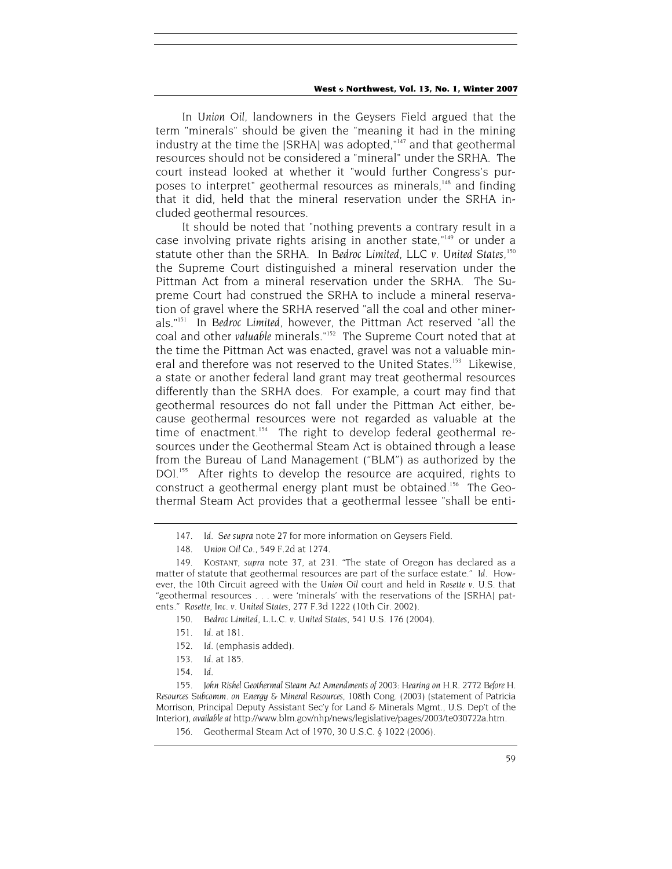In *Union Oil*, landowners in the Geysers Field argued that the term "minerals" should be given the "meaning it had in the mining industry at the time the [SRHA] was adopted,"<sup>147</sup> and that geothermal resources should not be considered a "mineral" under the SRHA. The court instead looked at whether it "would further Congress's purposes to interpret" geothermal resources as minerals,<sup>148</sup> and finding that it did, held that the mineral reservation under the SRHA included geothermal resources.

It should be noted that "nothing prevents a contrary result in a case involving private rights arising in another state,"149 or under a statute other than the SRHA. In *Bedroc Limited, LLC v. United States*, 150 the Supreme Court distinguished a mineral reservation under the Pittman Act from a mineral reservation under the SRHA. The Supreme Court had construed the SRHA to include a mineral reservation of gravel where the SRHA reserved "all the coal and other minerals."151 In *Bedroc Limited,* however, the Pittman Act reserved "all the coal and other *valuable* minerals."152 The Supreme Court noted that at the time the Pittman Act was enacted, gravel was not a valuable mineral and therefore was not reserved to the United States.<sup>153</sup> Likewise, a state or another federal land grant may treat geothermal resources differently than the SRHA does. For example, a court may find that geothermal resources do not fall under the Pittman Act either, because geothermal resources were not regarded as valuable at the time of enactment.<sup>154</sup> The right to develop federal geothermal resources under the Geothermal Steam Act is obtained through a lease from the Bureau of Land Management ("BLM") as authorized by the DOI.<sup>155</sup> After rights to develop the resource are acquired, rights to construct a geothermal energy plant must be obtained.<sup>156</sup> The Geothermal Steam Act provides that a geothermal lessee "shall be enti-

- 151*. Id*. at 181.
- 152*. Id*. (emphasis added).
- 153*. Id*. at 185.
- 154*. Id*.

<sup>147</sup>*. Id. See supra* note 27 for more information on Geysers Field.

<sup>148</sup>*. Union Oil Co.,* 549 F.2d at 1274.

<sup>149.</sup> KOSTANT, *supra* note 37, at 231. "The state of Oregon has declared as a matter of statute that geothermal resources are part of the surface estate." *Id*. However, the 10th Circuit agreed with the *Union Oil* court and held in *Rosette v. U.S.* that "geothermal resources . . . were 'minerals' with the reservations of the [SRHA] patents." *Rosette, Inc. v. United States*, 277 F.3d 1222 (10th Cir. 2002).

<sup>150</sup>*. Bedroc Limited, L.L.C. v. United States*, 541 U.S. 176 (2004).

<sup>155</sup>*. John Rishel Geothermal Steam Act Amendments of 2003*: *Hearing on H.R. 2772 Before H. Resources Subcomm. on Energy & Mineral Resources*, 108th Cong. (2003) (statement of Patricia Morrison, Principal Deputy Assistant Sec'y for Land & Minerals Mgmt., U.S. Dep't of the Interior), *available at* http://www.blm.gov/nhp/news/legislative/pages/2003/te030722a.htm.

<sup>156.</sup> Geothermal Steam Act of 1970, 30 U.S.C. § 1022 (2006).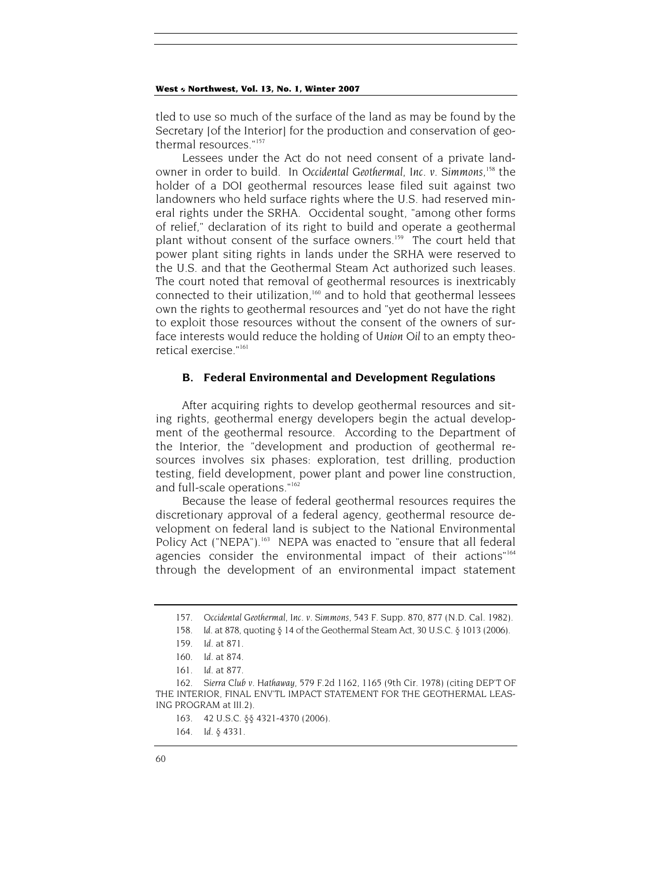tled to use so much of the surface of the land as may be found by the Secretary [of the Interior] for the production and conservation of geothermal resources."<sup>157</sup>

Lessees under the Act do not need consent of a private landowner in order to build. In *Occidental Geothermal, Inc. v. Simmons*, 158 the holder of a DOI geothermal resources lease filed suit against two landowners who held surface rights where the U.S. had reserved mineral rights under the SRHA. Occidental sought, "among other forms of relief," declaration of its right to build and operate a geothermal plant without consent of the surface owners.<sup>159</sup> The court held that power plant siting rights in lands under the SRHA were reserved to the U.S. and that the Geothermal Steam Act authorized such leases. The court noted that removal of geothermal resources is inextricably connected to their utilization,160 and to hold that geothermal lessees own the rights to geothermal resources and "yet do not have the right to exploit those resources without the consent of the owners of surface interests would reduce the holding of *Union Oil* to an empty theoretical exercise."161

#### **B. Federal Environmental and Development Regulations**

After acquiring rights to develop geothermal resources and siting rights, geothermal energy developers begin the actual development of the geothermal resource. According to the Department of the Interior, the "development and production of geothermal resources involves six phases: exploration, test drilling, production testing, field development, power plant and power line construction, and full-scale operations."162

Because the lease of federal geothermal resources requires the discretionary approval of a federal agency, geothermal resource development on federal land is subject to the National Environmental Policy Act ("NEPA").<sup>163</sup> NEPA was enacted to "ensure that all federal agencies consider the environmental impact of their actions"<sup>164</sup> through the development of an environmental impact statement

<sup>157</sup>*. Occidental Geothermal, Inc. v. Simmons*, 543 F. Supp. 870, 877 (N.D. Cal. 1982).

<sup>158</sup>*. Id*. at 878, quoting § 14 of the Geothermal Steam Act, 30 U.S.C. § 1013 (2006).

<sup>159</sup>*. Id*. at 871.

<sup>160</sup>*. Id*. at 874.

<sup>161</sup>*. Id*. at 877.

<sup>162</sup>*. Sierra Club v. Hathaway*, 579 F.2d 1162, 1165 (9th Cir. 1978) (citing DEP'T OF THE INTERIOR, FINAL ENV'TL IMPACT STATEMENT FOR THE GEOTHERMAL LEAS-ING PROGRAM at III.2).

<sup>163. 42</sup> U.S.C. §§ 4321-4370 (2006).

<sup>164</sup>*. Id.* § 4331.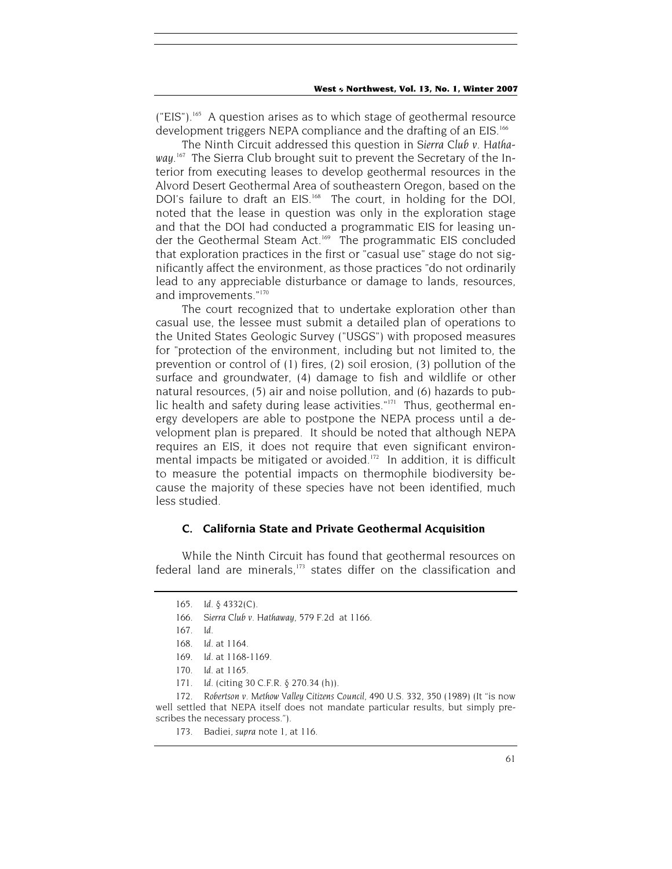$(TEIS<sup>n</sup>)<sub>165</sub>$  A question arises as to which stage of geothermal resource development triggers NEPA compliance and the drafting of an EIS.<sup>166</sup>

The Ninth Circuit addressed this question in *Sierra Club v. Hatha*way.<sup>167</sup> The Sierra Club brought suit to prevent the Secretary of the Interior from executing leases to develop geothermal resources in the Alvord Desert Geothermal Area of southeastern Oregon, based on the DOI's failure to draft an EIS.<sup>168</sup> The court, in holding for the DOI, noted that the lease in question was only in the exploration stage and that the DOI had conducted a programmatic EIS for leasing under the Geothermal Steam Act.<sup>169</sup> The programmatic EIS concluded that exploration practices in the first or "casual use" stage do not significantly affect the environment, as those practices "do not ordinarily lead to any appreciable disturbance or damage to lands, resources, and improvements."170

The court recognized that to undertake exploration other than casual use, the lessee must submit a detailed plan of operations to the United States Geologic Survey ("USGS") with proposed measures for "protection of the environment, including but not limited to, the prevention or control of (1) fires, (2) soil erosion, (3) pollution of the surface and groundwater, (4) damage to fish and wildlife or other natural resources, (5) air and noise pollution, and (6) hazards to public health and safety during lease activities."<sup>171</sup> Thus, geothermal energy developers are able to postpone the NEPA process until a development plan is prepared. It should be noted that although NEPA requires an EIS, it does not require that even significant environmental impacts be mitigated or avoided.<sup>172</sup> In addition, it is difficult to measure the potential impacts on thermophile biodiversity because the majority of these species have not been identified, much less studied.

#### **C. California State and Private Geothermal Acquisition**

While the Ninth Circuit has found that geothermal resources on federal land are minerals, $173$  states differ on the classification and

<sup>165</sup>*. Id.* § 4332(C).

<sup>166</sup>*. Sierra Club v. Hathaway,* 579 F.2d at 1166.

<sup>167</sup>*. Id*.

<sup>168</sup>*. Id*. at 1164.

<sup>169</sup>*. Id*. at 1168-1169.

<sup>170</sup>*. Id*. at 1165.

<sup>171</sup>*. Id*. (citing 30 C.F.R. § 270.34 (h)).

<sup>172</sup>*. Robertson v. Methow Valley Citizens Council*, 490 U.S. 332, 350 (1989) (It "is now well settled that NEPA itself does not mandate particular results, but simply prescribes the necessary process.").

<sup>173.</sup> Badiei, *supra* note 1, at 116.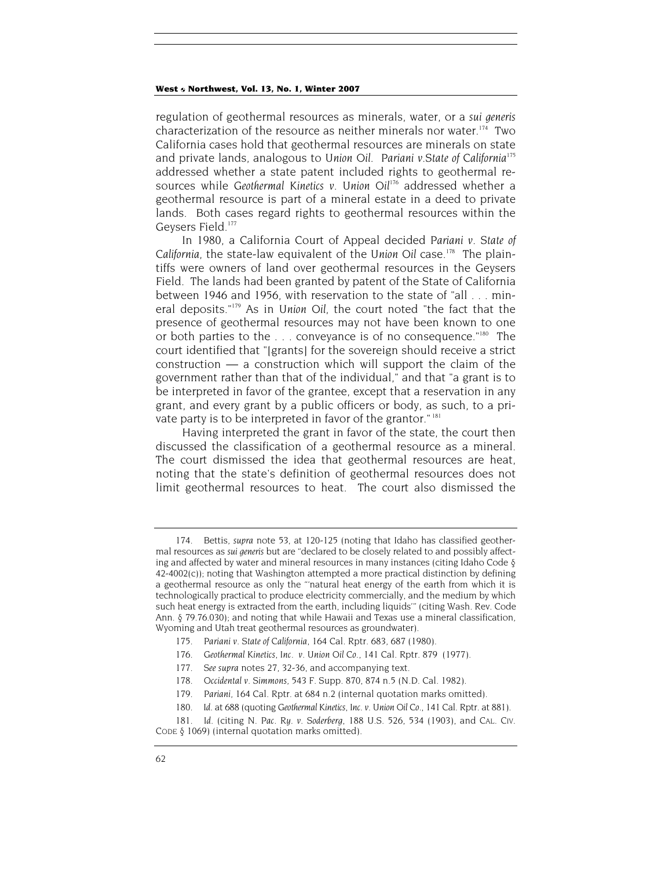regulation of geothermal resources as minerals, water, or a *sui generis* characterization of the resource as neither minerals nor water.<sup>174</sup> Two California cases hold that geothermal resources are minerals on state and private lands, analogous to *Union Oil*. *Pariani v.State of California*<sup>175</sup> addressed whether a state patent included rights to geothermal resources while *Geothermal Kinetics v. Union Oil*176 addressed whether a geothermal resource is part of a mineral estate in a deed to private lands. Both cases regard rights to geothermal resources within the Geysers Field.<sup>177</sup>

In 1980, a California Court of Appeal decided *Pariani v. State of California*, the state-law equivalent of the *Union Oil* case.178 The plaintiffs were owners of land over geothermal resources in the Geysers Field. The lands had been granted by patent of the State of California between 1946 and 1956, with reservation to the state of "all . . . mineral deposits."179 As in *Union Oil*, the court noted "the fact that the presence of geothermal resources may not have been known to one or both parties to the  $\ldots$  conveyance is of no consequence."<sup>180</sup> The court identified that "[grants] for the sovereign should receive a strict construction — a construction which will support the claim of the government rather than that of the individual," and that "a grant is to be interpreted in favor of the grantee, except that a reservation in any grant, and every grant by a public officers or body, as such, to a private party is to be interpreted in favor of the grantor."<sup>181</sup>

Having interpreted the grant in favor of the state, the court then discussed the classification of a geothermal resource as a mineral. The court dismissed the idea that geothermal resources are heat, noting that the state's definition of geothermal resources does not limit geothermal resources to heat. The court also dismissed the

<sup>174.</sup> Bettis, *supra* note 53, at 120-125 (noting that Idaho has classified geothermal resources as *sui generis* but are "declared to be closely related to and possibly affecting and affected by water and mineral resources in many instances (citing Idaho Code §  $42-4002(c)$ ; noting that Washington attempted a more practical distinction by defining a geothermal resource as only the "'natural heat energy of the earth from which it is technologically practical to produce electricity commercially, and the medium by which such heat energy is extracted from the earth, including liquids'" (citing Wash. Rev. Code Ann. § 79.76.030); and noting that while Hawaii and Texas use a mineral classification, Wyoming and Utah treat geothermal resources as groundwater).

<sup>175</sup>*. Pariani v. State of California*, 164 Cal. Rptr. 683, 687 (1980).

<sup>176</sup>*. Geothermal Kinetics, Inc. v. Union Oil Co.*, 141 Cal. Rptr. 879 (1977).

<sup>177</sup>*. See supra* notes 27, 32-36, and accompanying text.

<sup>178</sup>*. Occidental v. Simmons*, 543 F. Supp. 870, 874 n.5 (N.D. Cal. 1982).

<sup>179</sup>*. Pariani*, 164 Cal. Rptr. at 684 n.2 (internal quotation marks omitted).

<sup>180</sup>*. Id*. at 688 (quoting *Geothermal Kinetics, Inc. v. Union Oil Co*., 141 Cal. Rptr. at 881).

<sup>181</sup>*. Id*. (citing *N. Pac. Ry. v. Soderberg*, 188 U.S. 526, 534 (1903), and CAL. CIV. CODE § 1069) (internal quotation marks omitted).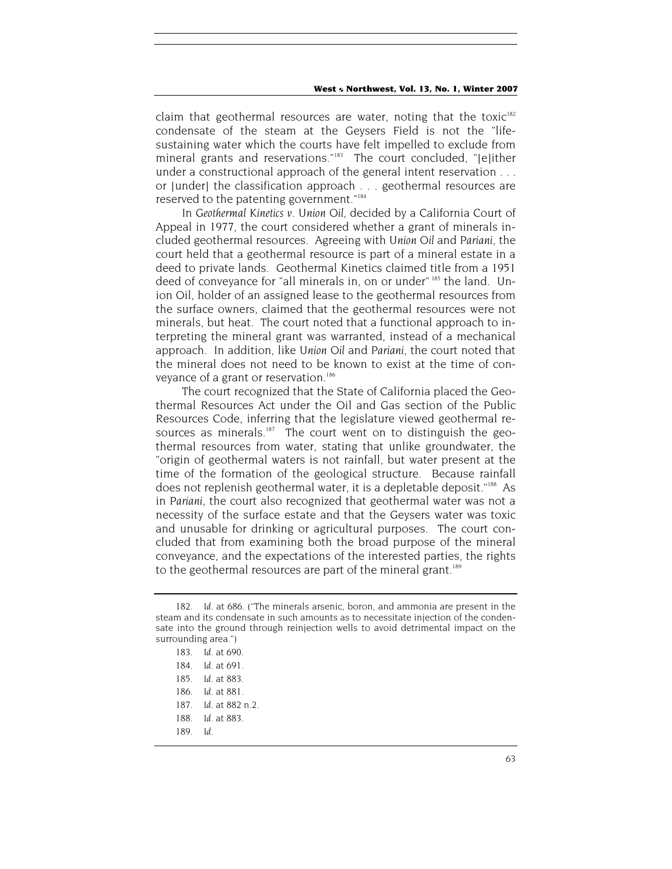claim that geothermal resources are water, noting that the toxic<sup>182</sup> condensate of the steam at the Geysers Field is not the "lifesustaining water which the courts have felt impelled to exclude from mineral grants and reservations."<sup>183</sup> The court concluded, "[e]ither under a constructional approach of the general intent reservation . . . or [under] the classification approach . . . geothermal resources are reserved to the patenting government."184

In *Geothermal Kinetics v. Union Oil*, decided by a California Court of Appeal in 1977, the court considered whether a grant of minerals included geothermal resources. Agreeing with *Union Oil* and *Pariani*, the court held that a geothermal resource is part of a mineral estate in a deed to private lands. Geothermal Kinetics claimed title from a 1951 deed of conveyance for "all minerals in, on or under" 185 the land. Union Oil, holder of an assigned lease to the geothermal resources from the surface owners, claimed that the geothermal resources were not minerals, but heat. The court noted that a functional approach to interpreting the mineral grant was warranted, instead of a mechanical approach. In addition, like *Union Oil* and *Pariani*, the court noted that the mineral does not need to be known to exist at the time of conveyance of a grant or reservation.<sup>186</sup>

The court recognized that the State of California placed the Geothermal Resources Act under the Oil and Gas section of the Public Resources Code, inferring that the legislature viewed geothermal resources as minerals. $187$  The court went on to distinguish the geothermal resources from water, stating that unlike groundwater, the "origin of geothermal waters is not rainfall, but water present at the time of the formation of the geological structure. Because rainfall does not replenish geothermal water, it is a depletable deposit."<sup>188</sup> As in *Pariani*, the court also recognized that geothermal water was not a necessity of the surface estate and that the Geysers water was toxic and unusable for drinking or agricultural purposes. The court concluded that from examining both the broad purpose of the mineral conveyance, and the expectations of the interested parties, the rights to the geothermal resources are part of the mineral grant.<sup>189</sup>

<sup>182</sup>*. Id*. at 686. ("The minerals arsenic, boron, and ammonia are present in the steam and its condensate in such amounts as to necessitate injection of the condensate into the ground through reinjection wells to avoid detrimental impact on the surrounding area.")

<sup>183</sup>*. Id*. at 690.

<sup>184</sup>*. Id*. at 691.

<sup>185</sup>*. Id*. at 883.

<sup>186</sup>*. Id*. at 881.

<sup>187</sup>*. Id*. at 882 n.2.

<sup>188</sup>*. Id*. at 883.

<sup>189</sup>*. Id*.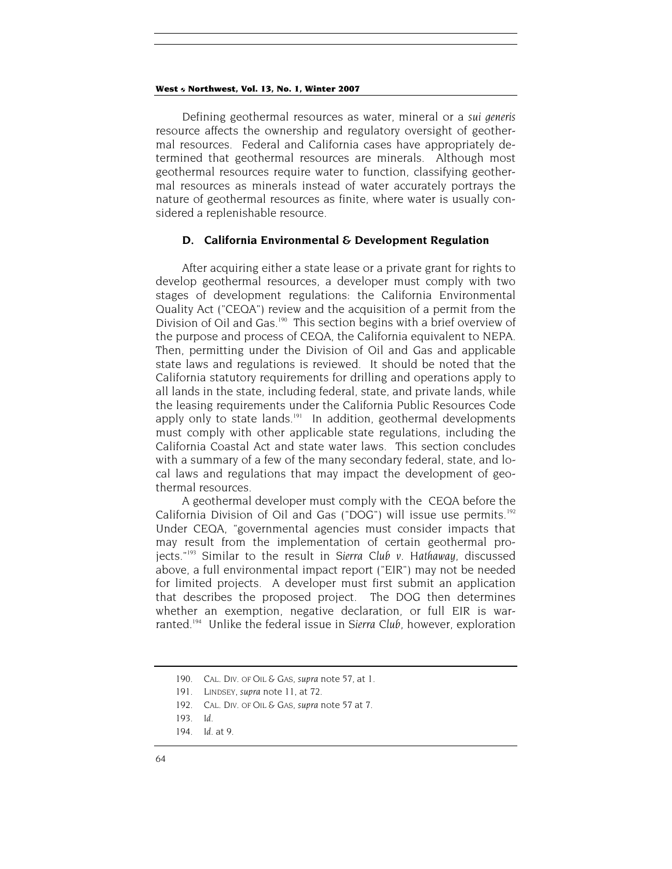Defining geothermal resources as water, mineral or a *sui generis* resource affects the ownership and regulatory oversight of geothermal resources. Federal and California cases have appropriately determined that geothermal resources are minerals. Although most geothermal resources require water to function, classifying geothermal resources as minerals instead of water accurately portrays the nature of geothermal resources as finite, where water is usually considered a replenishable resource.

## **D. California Environmental & Development Regulation**

After acquiring either a state lease or a private grant for rights to develop geothermal resources, a developer must comply with two stages of development regulations: the California Environmental Quality Act ("CEQA") review and the acquisition of a permit from the Division of Oil and Gas.<sup>190</sup> This section begins with a brief overview of the purpose and process of CEQA, the California equivalent to NEPA. Then, permitting under the Division of Oil and Gas and applicable state laws and regulations is reviewed. It should be noted that the California statutory requirements for drilling and operations apply to all lands in the state, including federal, state, and private lands, while the leasing requirements under the California Public Resources Code apply only to state lands.<sup>191</sup> In addition, geothermal developments must comply with other applicable state regulations, including the California Coastal Act and state water laws. This section concludes with a summary of a few of the many secondary federal, state, and local laws and regulations that may impact the development of geothermal resources.

A geothermal developer must comply with the CEQA before the California Division of Oil and Gas ("DOG") will issue use permits.<sup>192</sup> Under CEQA, "governmental agencies must consider impacts that may result from the implementation of certain geothermal projects."193 Similar to the result in *Sierra Club v. Hathaway*, discussed above, a full environmental impact report ("EIR") may not be needed for limited projects. A developer must first submit an application that describes the proposed project. The DOG then determines whether an exemption, negative declaration, or full EIR is warranted.<sup>194</sup> Unlike the federal issue in Sierra Club, however, exploration

<sup>190.</sup> CAL. DIV. OF OIL & GAS, *supra* note 57, at 1.

<sup>191.</sup> LINDSEY, *supra* note 11, at 72.

<sup>192.</sup> CAL. DIV. OF OIL & GAS, *supra* note 57 at 7.

<sup>193</sup>*. Id*.

<sup>194</sup>*. Id*. at 9.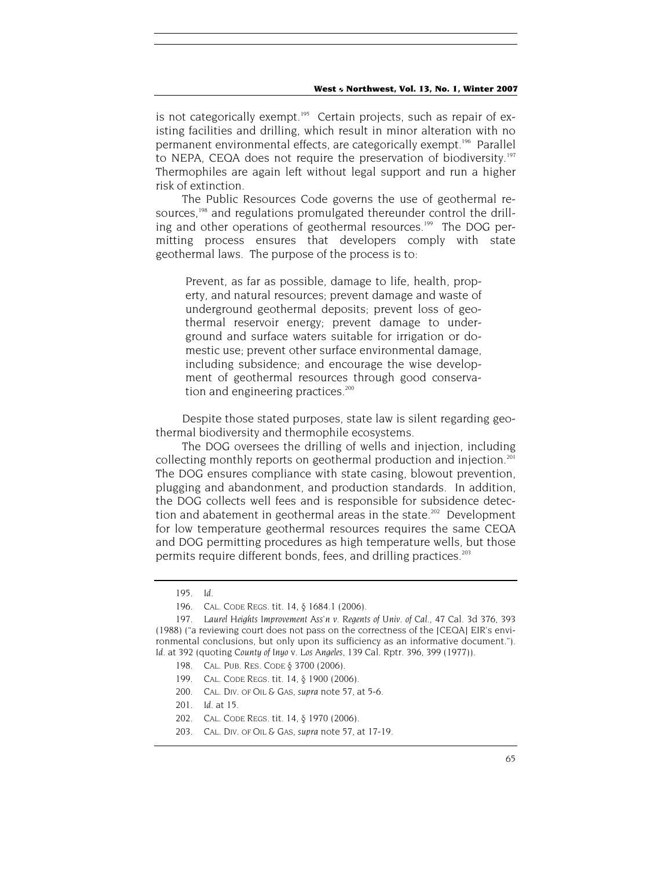is not categorically exempt.<sup>195</sup> Certain projects, such as repair of existing facilities and drilling, which result in minor alteration with no permanent environmental effects, are categorically exempt.196 Parallel to NEPA, CEQA does not require the preservation of biodiversity.<sup>197</sup> Thermophiles are again left without legal support and run a higher risk of extinction.

The Public Resources Code governs the use of geothermal resources,<sup>198</sup> and regulations promulgated thereunder control the drilling and other operations of geothermal resources.<sup>199</sup> The DOG permitting process ensures that developers comply with state geothermal laws. The purpose of the process is to:

Prevent, as far as possible, damage to life, health, property, and natural resources; prevent damage and waste of underground geothermal deposits; prevent loss of geothermal reservoir energy; prevent damage to underground and surface waters suitable for irrigation or domestic use; prevent other surface environmental damage, including subsidence; and encourage the wise development of geothermal resources through good conservation and engineering practices. $200$ 

Despite those stated purposes, state law is silent regarding geothermal biodiversity and thermophile ecosystems.

The DOG oversees the drilling of wells and injection, including collecting monthly reports on geothermal production and injection.<sup>201</sup> The DOG ensures compliance with state casing, blowout prevention, plugging and abandonment, and production standards. In addition, the DOG collects well fees and is responsible for subsidence detection and abatement in geothermal areas in the state.<sup>202</sup> Development for low temperature geothermal resources requires the same CEQA and DOG permitting procedures as high temperature wells, but those permits require different bonds, fees, and drilling practices.<sup>203</sup>

- 198. CAL. PUB. RES. CODE § 3700 (2006).
- 199. CAL. CODE REGS. tit. 14, § 1900 (2006).
- 200. CAL. DIV. OF OIL & GAS, *supra* note 57, at 5-6.
- 201*. Id*. at 15.
- 202. CAL. CODE REGS. tit. 14, § 1970 (2006).
- 203. CAL. DIV. OF OIL & GAS, *supra* note 57, at 17-19.

<sup>195</sup>*. Id*.

<sup>196.</sup> CAL. CODE REGS. tit. 14, § 1684.1 (2006).

<sup>197</sup>*. Laurel Heights Improvement Ass'n v. Regents of Univ. of Cal.,* 47 Cal. 3d 376, 393 (1988) ("a reviewing court does not pass on the correctness of the [CEQA] EIR's environmental conclusions, but only upon its sufficiency as an informative document."). *Id*. at 392 (quoting *County of Inyo* v. *Los Angeles*, 139 Cal. Rptr. 396, 399 (1977)).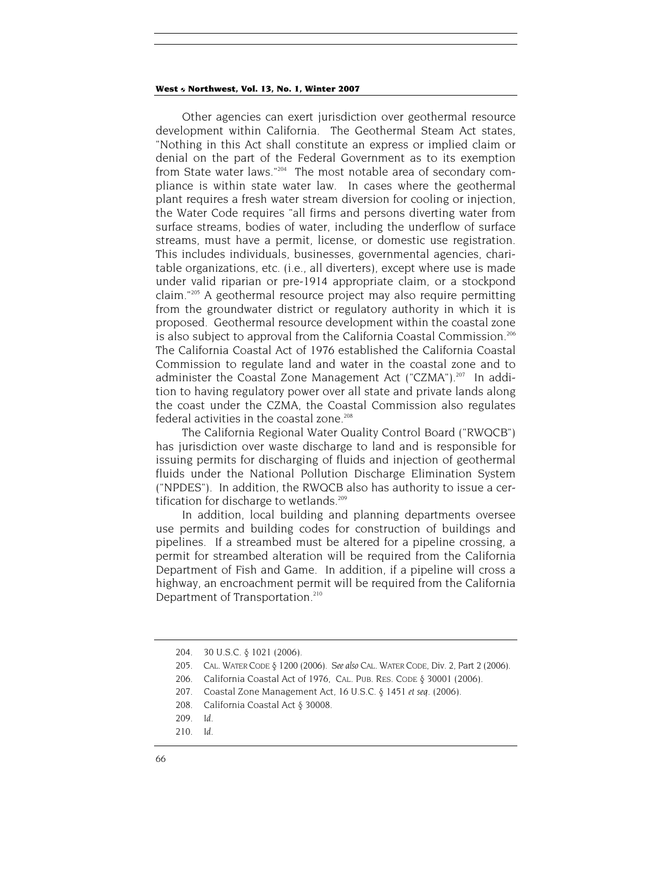Other agencies can exert jurisdiction over geothermal resource development within California. The Geothermal Steam Act states, "Nothing in this Act shall constitute an express or implied claim or denial on the part of the Federal Government as to its exemption from State water laws."204 The most notable area of secondary compliance is within state water law. In cases where the geothermal plant requires a fresh water stream diversion for cooling or injection, the Water Code requires "all firms and persons diverting water from surface streams, bodies of water, including the underflow of surface streams, must have a permit, license, or domestic use registration. This includes individuals, businesses, governmental agencies, charitable organizations, etc. (i.e., all diverters), except where use is made under valid riparian or pre-1914 appropriate claim, or a stockpond claim."205 A geothermal resource project may also require permitting from the groundwater district or regulatory authority in which it is proposed. Geothermal resource development within the coastal zone is also subject to approval from the California Coastal Commission.<sup>206</sup> The California Coastal Act of 1976 established the California Coastal Commission to regulate land and water in the coastal zone and to administer the Coastal Zone Management Act ("CZMA").<sup>207</sup> In addition to having regulatory power over all state and private lands along the coast under the CZMA, the Coastal Commission also regulates federal activities in the coastal zone.<sup>208</sup>

The California Regional Water Quality Control Board ("RWQCB") has jurisdiction over waste discharge to land and is responsible for issuing permits for discharging of fluids and injection of geothermal fluids under the National Pollution Discharge Elimination System ("NPDES"). In addition, the RWQCB also has authority to issue a certification for discharge to wetlands.<sup>209</sup>

In addition, local building and planning departments oversee use permits and building codes for construction of buildings and pipelines. If a streambed must be altered for a pipeline crossing, a permit for streambed alteration will be required from the California Department of Fish and Game. In addition, if a pipeline will cross a highway, an encroachment permit will be required from the California Department of Transportation.<sup>210</sup>

<sup>204. 30</sup> U.S.C. § 1021 (2006).

<sup>205.</sup> CAL. WATER CODE § 1200 (2006). *See also* CAL. WATER CODE, Div. 2, Part 2 (2006).

<sup>206.</sup> California Coastal Act of 1976, CAL. PUB. RES. CODE § 30001 (2006).

<sup>207.</sup> Coastal Zone Management Act, 16 U.S.C. § 1451 *et seq.* (2006).

<sup>208.</sup> California Coastal Act § 30008.

<sup>209</sup>*. Id.*

<sup>210.</sup> *Id.*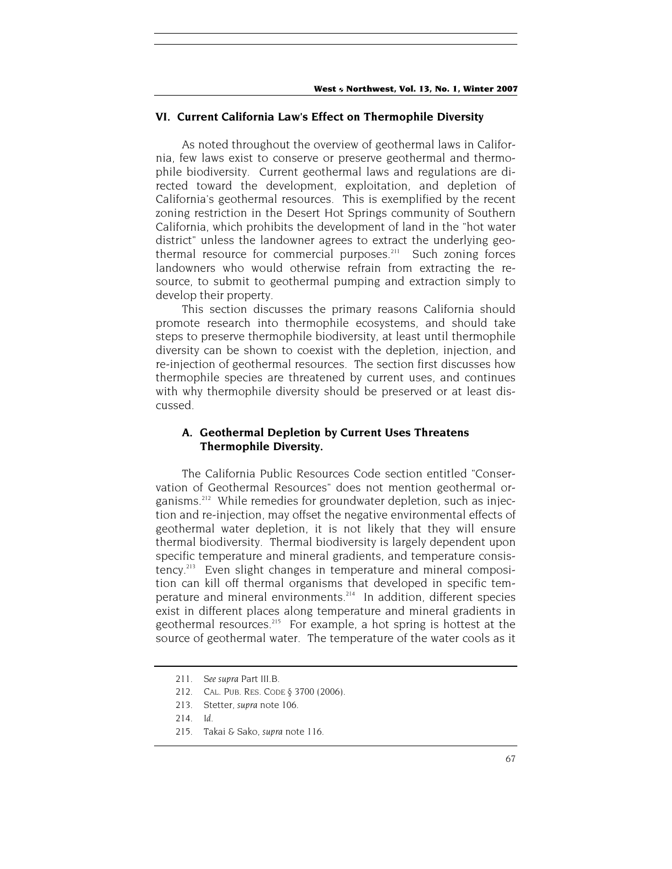## **VI. Current California Law's Effect on Thermophile Diversity**

As noted throughout the overview of geothermal laws in California, few laws exist to conserve or preserve geothermal and thermophile biodiversity. Current geothermal laws and regulations are directed toward the development, exploitation, and depletion of California's geothermal resources. This is exemplified by the recent zoning restriction in the Desert Hot Springs community of Southern California, which prohibits the development of land in the "hot water district" unless the landowner agrees to extract the underlying geothermal resource for commercial purposes.<sup>211</sup> Such zoning forces landowners who would otherwise refrain from extracting the resource, to submit to geothermal pumping and extraction simply to develop their property.

This section discusses the primary reasons California should promote research into thermophile ecosystems, and should take steps to preserve thermophile biodiversity, at least until thermophile diversity can be shown to coexist with the depletion, injection, and re-injection of geothermal resources. The section first discusses how thermophile species are threatened by current uses, and continues with why thermophile diversity should be preserved or at least discussed.

## **A. Geothermal Depletion by Current Uses Threatens Thermophile Diversity.**

The California Public Resources Code section entitled "Conservation of Geothermal Resources" does not mention geothermal organisms.<sup>212</sup> While remedies for groundwater depletion, such as injection and re-injection, may offset the negative environmental effects of geothermal water depletion, it is not likely that they will ensure thermal biodiversity. Thermal biodiversity is largely dependent upon specific temperature and mineral gradients, and temperature consistency.213 Even slight changes in temperature and mineral composition can kill off thermal organisms that developed in specific temperature and mineral environments.214 In addition, different species exist in different places along temperature and mineral gradients in geothermal resources.<sup>215</sup> For example, a hot spring is hottest at the source of geothermal water. The temperature of the water cools as it

<sup>211</sup>*. See supra* Part III.B.

<sup>212.</sup> CAL. PUB. RES. CODE § 3700 (2006).

<sup>213.</sup> Stetter, *supra* note 106.

<sup>214</sup>*. Id.*

<sup>215.</sup> Takai & Sako, *supra* note 116.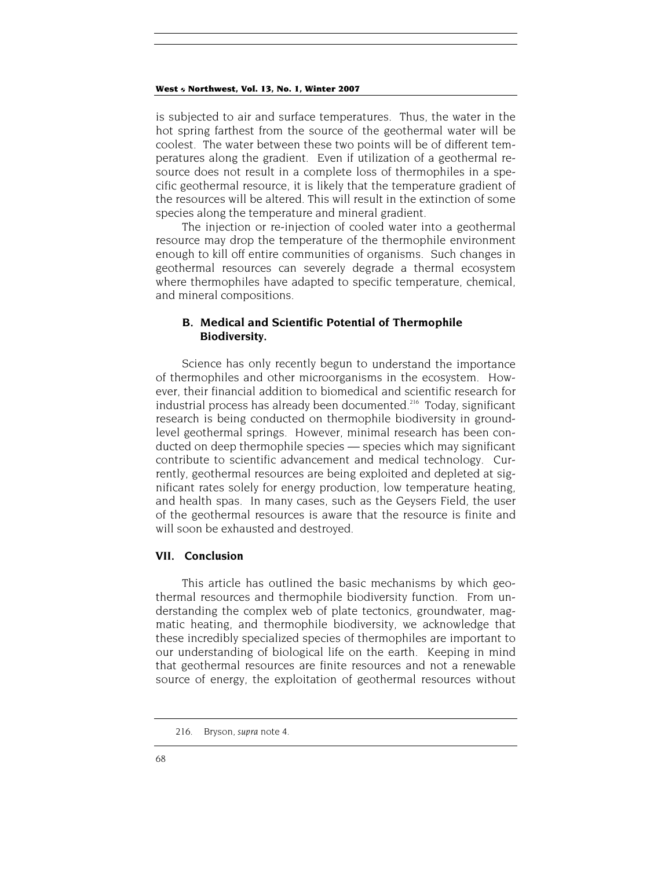is subjected to air and surface temperatures. Thus, the water in the hot spring farthest from the source of the geothermal water will be coolest. The water between these two points will be of different temperatures along the gradient. Even if utilization of a geothermal resource does not result in a complete loss of thermophiles in a specific geothermal resource, it is likely that the temperature gradient of the resources will be altered. This will result in the extinction of some species along the temperature and mineral gradient.

The injection or re-injection of cooled water into a geothermal resource may drop the temperature of the thermophile environment enough to kill off entire communities of organisms. Such changes in geothermal resources can severely degrade a thermal ecosystem where thermophiles have adapted to specific temperature, chemical, and mineral compositions.

## **B. Medical and Scientific Potential of Thermophile Biodiversity.**

Science has only recently begun to understand the importance of thermophiles and other microorganisms in the ecosystem. However, their financial addition to biomedical and scientific research for industrial process has already been documented.<sup>216</sup> Today, significant research is being conducted on thermophile biodiversity in groundlevel geothermal springs. However, minimal research has been conducted on deep thermophile species — species which may significant contribute to scientific advancement and medical technology. Currently, geothermal resources are being exploited and depleted at significant rates solely for energy production, low temperature heating, and health spas. In many cases, such as the Geysers Field, the user of the geothermal resources is aware that the resource is finite and will soon be exhausted and destroyed.

## **VII. Conclusion**

This article has outlined the basic mechanisms by which geothermal resources and thermophile biodiversity function. From understanding the complex web of plate tectonics, groundwater, magmatic heating, and thermophile biodiversity, we acknowledge that these incredibly specialized species of thermophiles are important to our understanding of biological life on the earth. Keeping in mind that geothermal resources are finite resources and not a renewable source of energy, the exploitation of geothermal resources without

<sup>216.</sup> Bryson, *supra* note 4.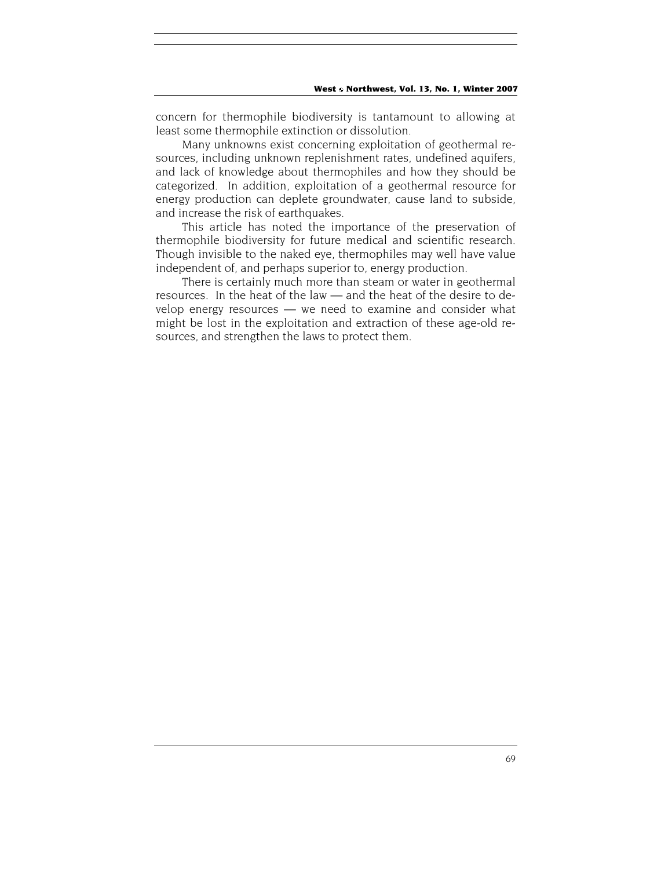concern for thermophile biodiversity is tantamount to allowing at least some thermophile extinction or dissolution.

Many unknowns exist concerning exploitation of geothermal resources, including unknown replenishment rates, undefined aquifers, and lack of knowledge about thermophiles and how they should be categorized. In addition, exploitation of a geothermal resource for energy production can deplete groundwater, cause land to subside, and increase the risk of earthquakes.

This article has noted the importance of the preservation of thermophile biodiversity for future medical and scientific research. Though invisible to the naked eye, thermophiles may well have value independent of, and perhaps superior to, energy production.

There is certainly much more than steam or water in geothermal resources. In the heat of the law — and the heat of the desire to develop energy resources — we need to examine and consider what might be lost in the exploitation and extraction of these age-old resources, and strengthen the laws to protect them.